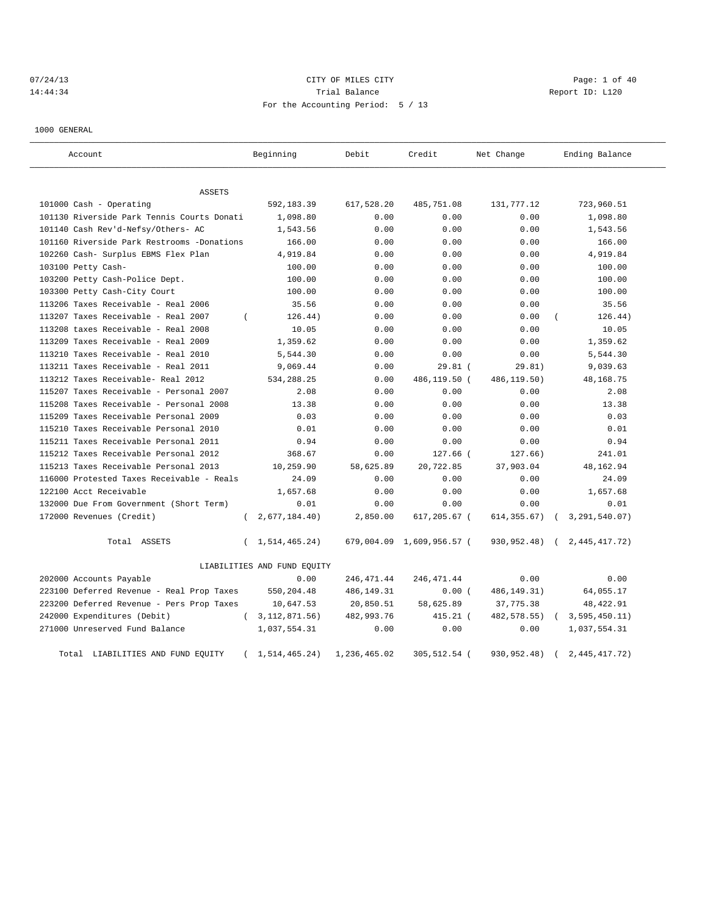# 07/24/13 CITY OF MILES CITY CHARGES CITY CONTROLLER Page: 1 of 40 14:44:34 Report ID: L120 For the Accounting Period: 5 / 13

1000 GENERAL

| Account                                    | Beginning                   | Debit        | Credit                    | Net Change    | Ending Balance   |
|--------------------------------------------|-----------------------------|--------------|---------------------------|---------------|------------------|
| <b>ASSETS</b>                              |                             |              |                           |               |                  |
| 101000 Cash - Operating                    | 592,183.39                  | 617,528.20   | 485,751.08                | 131,777.12    | 723,960.51       |
| 101130 Riverside Park Tennis Courts Donati | 1,098.80                    | 0.00         | 0.00                      | 0.00          | 1,098.80         |
| 101140 Cash Rev'd-Nefsy/Others- AC         | 1,543.56                    | 0.00         | 0.00                      | 0.00          | 1,543.56         |
| 101160 Riverside Park Restrooms -Donations | 166.00                      | 0.00         | 0.00                      | 0.00          | 166.00           |
| 102260 Cash- Surplus EBMS Flex Plan        | 4,919.84                    | 0.00         | 0.00                      | 0.00          | 4,919.84         |
| 103100 Petty Cash-                         | 100.00                      | 0.00         | 0.00                      | 0.00          | 100.00           |
| 103200 Petty Cash-Police Dept.             | 100.00                      | 0.00         | 0.00                      | 0.00          | 100.00           |
| 103300 Petty Cash-City Court               | 100.00                      | 0.00         | 0.00                      | 0.00          | 100.00           |
| 113206 Taxes Receivable - Real 2006        | 35.56                       | 0.00         | 0.00                      | 0.00          | 35.56            |
| 113207 Taxes Receivable - Real 2007        | 126.44)                     | 0.00         | 0.00                      | 0.00          | 126.44)          |
| 113208 taxes Receivable - Real 2008        | 10.05                       | 0.00         | 0.00                      | 0.00          | 10.05            |
| 113209 Taxes Receivable - Real 2009        | 1,359.62                    | 0.00         | 0.00                      | 0.00          | 1,359.62         |
| 113210 Taxes Receivable - Real 2010        | 5,544.30                    | 0.00         | 0.00                      | 0.00          | 5,544.30         |
| 113211 Taxes Receivable - Real 2011        | 9,069.44                    | 0.00         | $29.81$ (                 | 29.81)        | 9,039.63         |
| 113212 Taxes Receivable- Real 2012         | 534,288.25                  | 0.00         | 486,119.50 (              | 486,119.50)   | 48, 168. 75      |
| 115207 Taxes Receivable - Personal 2007    | 2.08                        | 0.00         | 0.00                      | 0.00          | 2.08             |
| 115208 Taxes Receivable - Personal 2008    | 13.38                       | 0.00         | 0.00                      | 0.00          | 13.38            |
| 115209 Taxes Receivable Personal 2009      | 0.03                        | 0.00         | 0.00                      | 0.00          | 0.03             |
| 115210 Taxes Receivable Personal 2010      | 0.01                        | 0.00         | 0.00                      | 0.00          | 0.01             |
| 115211 Taxes Receivable Personal 2011      | 0.94                        | 0.00         | 0.00                      | 0.00          | 0.94             |
| 115212 Taxes Receivable Personal 2012      | 368.67                      | 0.00         | 127.66 (                  | 127.66)       | 241.01           |
| 115213 Taxes Receivable Personal 2013      | 10,259.90                   | 58,625.89    | 20,722.85                 | 37,903.04     | 48, 162. 94      |
| 116000 Protested Taxes Receivable - Reals  | 24.09                       | 0.00         | 0.00                      | 0.00          | 24.09            |
| 122100 Acct Receivable                     | 1,657.68                    | 0.00         | 0.00                      | 0.00          | 1,657.68         |
| 132000 Due From Government (Short Term)    | 0.01                        | 0.00         | 0.00                      | 0.00          | 0.01             |
| 172000 Revenues (Credit)                   | 2,677,184.40)<br>$\left($   | 2,850.00     | 617,205.67 (              | 614, 355.67)  | 3, 291, 540.07)  |
| Total ASSETS                               | 1,514,465.24)<br>$\left($   |              | 679,004.09 1,609,956.57 ( | 930,952.48)   | 2, 445, 417. 72) |
|                                            | LIABILITIES AND FUND EQUITY |              |                           |               |                  |
| 202000 Accounts Payable                    | 0.00                        | 246,471.44   | 246, 471.44               | 0.00          | 0.00             |
| 223100 Deferred Revenue - Real Prop Taxes  | 550,204.48                  | 486,149.31   | 0.00(                     | 486, 149. 31) | 64,055.17        |
| 223200 Deferred Revenue - Pers Prop Taxes  | 10,647.53                   | 20,850.51    | 58,625.89                 | 37,775.38     | 48, 422.91       |
| 242000 Expenditures (Debit)                | (3, 112, 871.56)            | 482,993.76   | 415.21 (                  | 482, 578.55)  | 3,595,450.11)    |
| 271000 Unreserved Fund Balance             | 1,037,554.31                | 0.00         | 0.00                      | 0.00          | 1,037,554.31     |
| Total LIABILITIES AND FUND EQUITY          | 1,514,465.24)<br>$\left($   | 1,236,465.02 | 305,512.54 (              | 930,952.48)   | 2, 445, 417. 72) |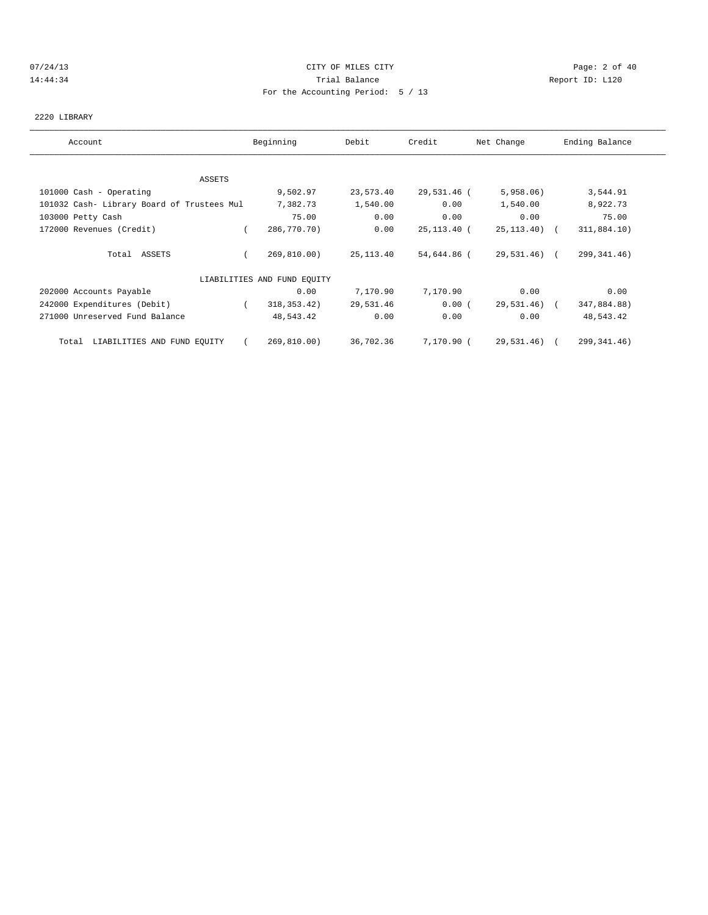# 07/24/13 Page: 2 of 40 14:44:34 Trial Balance Report ID: L120 For the Accounting Period: 5 / 13

# 2220 LIBRARY

| Account                                    | Beginning                   | Debit      | Credit      | Net Change      | Ending Balance |
|--------------------------------------------|-----------------------------|------------|-------------|-----------------|----------------|
|                                            |                             |            |             |                 |                |
| ASSETS                                     |                             |            |             |                 |                |
| 101000 Cash - Operating                    | 9,502.97                    | 23,573.40  | 29,531.46 ( | 5,958.06        | 3,544.91       |
| 101032 Cash- Library Board of Trustees Mul | 7,382.73                    | 1,540.00   | 0.00        | 1,540.00        | 8,922.73       |
| 103000 Petty Cash                          | 75.00                       | 0.00       | 0.00        | 0.00            | 75.00          |
| 172000 Revenues (Credit)                   | 286,770.70)                 | 0.00       | 25,113.40 ( | $25, 113, 40$ ( | 311,884.10)    |
| Total ASSETS                               | 269,810.00)                 | 25, 113.40 | 54,644.86 ( | 29,531.46) (    | 299, 341.46)   |
|                                            | LIABILITIES AND FUND EQUITY |            |             |                 |                |
| 202000 Accounts Payable                    | 0.00                        | 7,170.90   | 7,170.90    | 0.00            | 0.00           |
| 242000 Expenditures (Debit)                | 318, 353. 42)               | 29,531.46  | 0.00(       | 29,531.46) (    | 347,884.88)    |
| 271000 Unreserved Fund Balance             | 48,543.42                   | 0.00       | 0.00        | 0.00            | 48,543.42      |
| Total LIABILITIES AND FUND EQUITY          | 269,810.00)                 | 36,702.36  | 7,170.90 (  | 29,531.46) (    | 299, 341.46)   |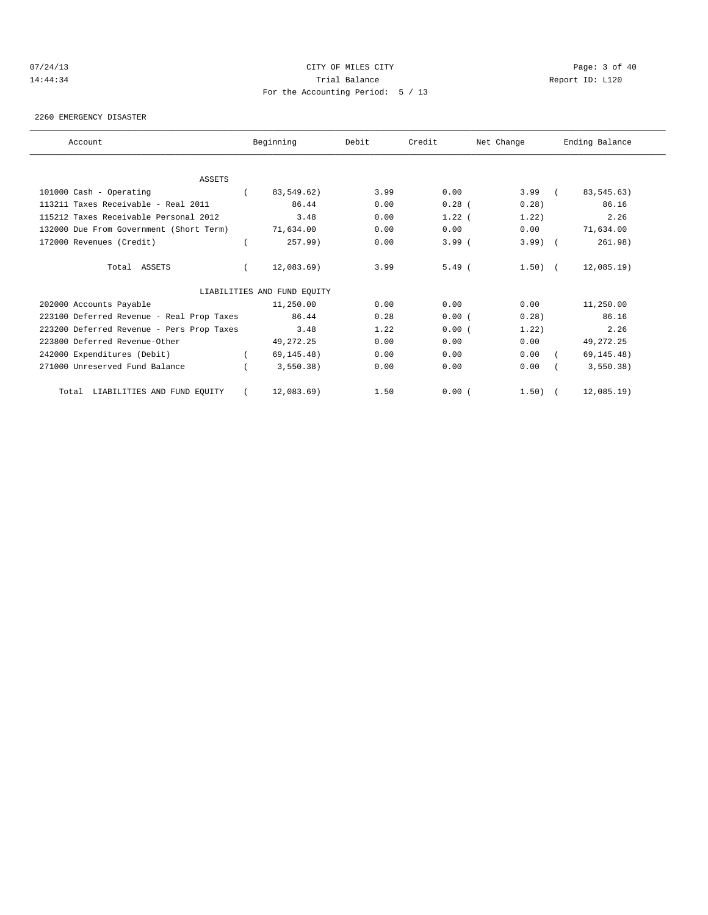# 07/24/13 Page: 3 of 40 14:44:34 Trial Balance Report ID: L120 For the Accounting Period: 5 / 13

#### 2260 EMERGENCY DISASTER

| Account                                   |          | Beginning                   | Debit | Credit   | Net Change | Ending Balance |
|-------------------------------------------|----------|-----------------------------|-------|----------|------------|----------------|
|                                           |          |                             |       |          |            |                |
| <b>ASSETS</b>                             |          |                             |       |          |            |                |
| 101000 Cash - Operating                   |          | 83,549.62)                  | 3.99  | 0.00     | $3.99$ (   | 83, 545. 63)   |
| 113211 Taxes Receivable - Real 2011       |          | 86.44                       | 0.00  | $0.28$ ( | 0.28)      | 86.16          |
| 115212 Taxes Receivable Personal 2012     |          | 3.48                        | 0.00  | $1.22$ ( | 1.22)      | 2.26           |
| 132000 Due From Government (Short Term)   |          | 71,634.00                   | 0.00  | 0.00     | 0.00       | 71,634.00      |
| 172000 Revenues (Credit)                  |          | 257.99)                     | 0.00  | $3.99$ ( | $3.99$ $($ | 261.98)        |
| Total ASSETS                              | $\left($ | 12,083.69)                  | 3.99  | $5.49$ ( | $1.50$ ) ( | $12,085.19$ )  |
|                                           |          | LIABILITIES AND FUND EQUITY |       |          |            |                |
| 202000 Accounts Payable                   |          | 11,250.00                   | 0.00  | 0.00     | 0.00       | 11,250.00      |
| 223100 Deferred Revenue - Real Prop Taxes |          | 86.44                       | 0.28  | 0.00(    | 0.28       | 86.16          |
| 223200 Deferred Revenue - Pers Prop Taxes |          | 3.48                        | 1.22  | 0.00(    | 1.22)      | 2.26           |
| 223800 Deferred Revenue-Other             |          | 49, 272. 25                 | 0.00  | 0.00     | 0.00       | 49, 272. 25    |
| 242000 Expenditures (Debit)               |          | 69, 145.48)                 | 0.00  | 0.00     | 0.00       | 69, 145.48)    |
| 271000 Unreserved Fund Balance            |          | 3,550.38)                   | 0.00  | 0.00     | 0.00       | 3,550.38)      |
| LIABILITIES AND FUND EQUITY<br>Total      |          | 12,083.69)                  | 1.50  | 0.00(    | $1.50$ ) ( | $12,085.19$ )  |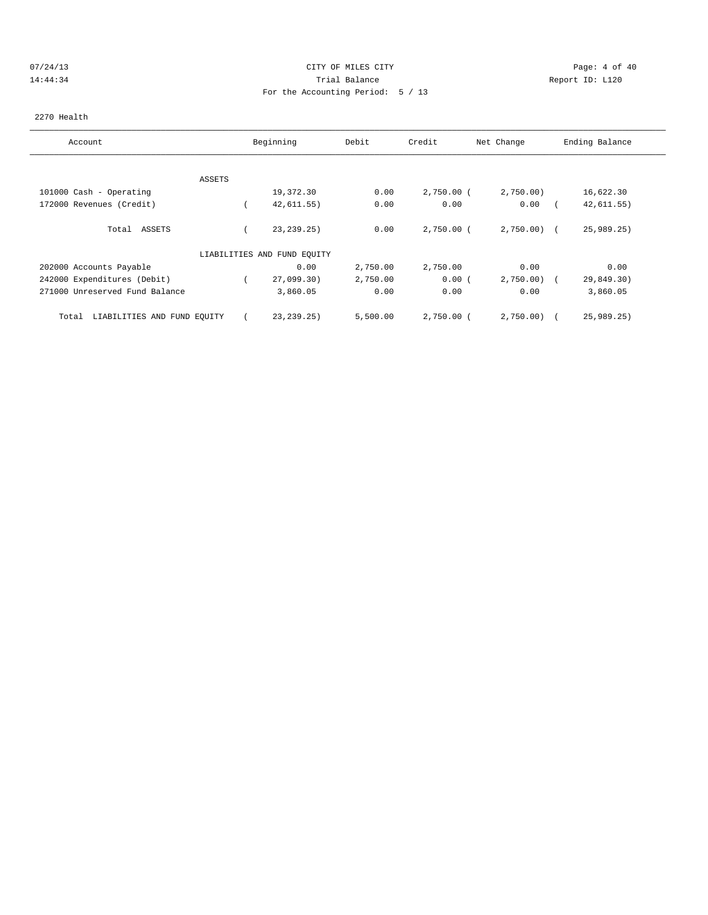# 07/24/13 Page: 4 of 40 14:44:34 Trial Balance Report ID: L120 For the Accounting Period: 5 / 13

### 2270 Health

| Account                              | Beginning                   | Debit    | Credit       | Net Change   | Ending Balance |
|--------------------------------------|-----------------------------|----------|--------------|--------------|----------------|
|                                      |                             |          |              |              |                |
| ASSETS                               |                             |          |              |              |                |
| 101000 Cash - Operating              | 19,372.30                   | 0.00     | $2,750.00$ ( | 2,750.00     | 16,622.30      |
| 172000 Revenues (Credit)             | 42,611.55)                  | 0.00     | 0.00         | 0.00         | 42, 611.55)    |
| ASSETS<br>Total                      | 23, 239.25)                 | 0.00     | $2,750.00$ ( | $2,750.00$ ( | 25,989.25      |
|                                      | LIABILITIES AND FUND EQUITY |          |              |              |                |
| 202000 Accounts Payable              | 0.00                        | 2,750.00 | 2,750.00     | 0.00         | 0.00           |
| 242000 Expenditures (Debit)          | 27,099.30)                  | 2,750.00 | 0.00(        | 2,750.00     | 29,849.30)     |
| 271000 Unreserved Fund Balance       | 3,860.05                    | 0.00     | 0.00         | 0.00         | 3,860.05       |
| LIABILITIES AND FUND EQUITY<br>Total | 23, 239. 25)                | 5,500.00 | $2,750.00$ ( | 2,750.00     | 25,989.25)     |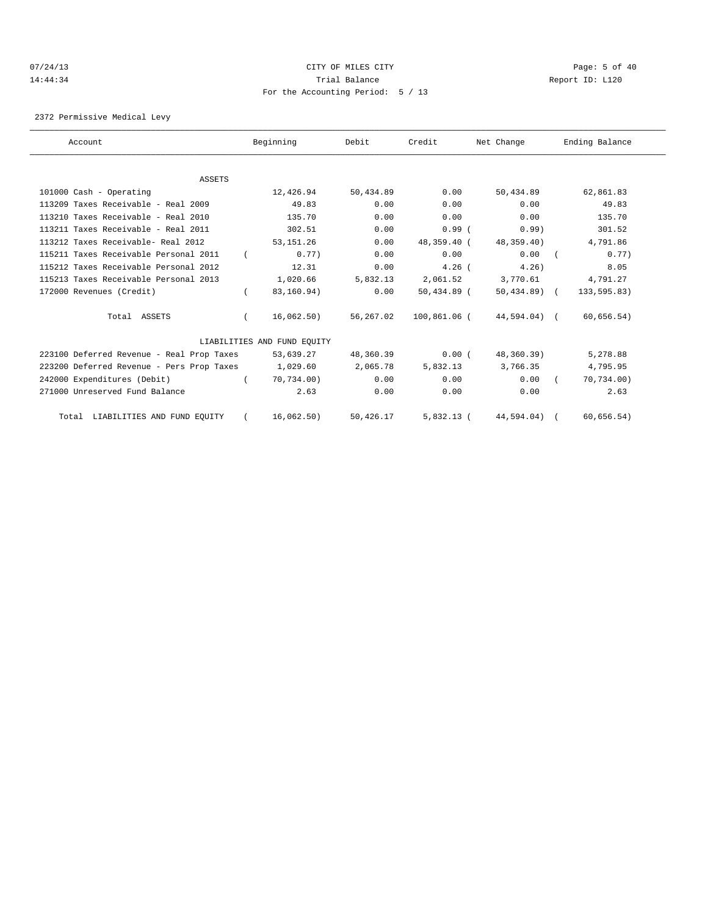# 07/24/13 Page: 5 of 40 14:44:34 Trial Balance Report ID: L120 For the Accounting Period: 5 / 13

2372 Permissive Medical Levy

| Account                                   |          | Beginning                   | Debit     | Credit        | Net Change    | Ending Balance |  |
|-------------------------------------------|----------|-----------------------------|-----------|---------------|---------------|----------------|--|
|                                           |          |                             |           |               |               |                |  |
| <b>ASSETS</b>                             |          |                             |           |               |               |                |  |
| 101000 Cash - Operating                   |          | 12,426.94                   | 50,434.89 | 0.00          | 50,434.89     | 62,861.83      |  |
| 113209 Taxes Receivable - Real 2009       |          | 49.83                       | 0.00      | 0.00          | 0.00          | 49.83          |  |
| 113210 Taxes Receivable - Real 2010       |          | 135.70                      | 0.00      | 0.00          | 0.00          | 135.70         |  |
| 113211 Taxes Receivable - Real 2011       |          | 302.51                      | 0.00      | 0.99(         | 0.99)         | 301.52         |  |
| 113212 Taxes Receivable- Real 2012        |          | 53, 151.26                  | 0.00      | 48,359.40 (   | 48,359.40)    | 4,791.86       |  |
| 115211 Taxes Receivable Personal 2011     |          | 0.77)                       | 0.00      | 0.00          | 0.00          | 0.77)          |  |
| 115212 Taxes Receivable Personal 2012     |          | 12.31                       | 0.00      | $4.26$ (      | 4.26          | 8.05           |  |
| 115213 Taxes Receivable Personal 2013     |          | 1,020.66                    | 5,832.13  | 2,061.52      | 3,770.61      | 4,791.27       |  |
| 172000 Revenues (Credit)                  | $\left($ | 83,160.94)                  | 0.00      | $50,434.89$ ( | $50,434.89$ ( | 133,595.83)    |  |
| Total ASSETS                              | $\left($ | 16,062.50)                  | 56,267.02 | 100,861.06 (  | 44,594.04) (  | 60,656.54)     |  |
|                                           |          | LIABILITIES AND FUND EOUITY |           |               |               |                |  |
| 223100 Deferred Revenue - Real Prop Taxes |          | 53,639.27                   | 48,360.39 | 0.00(         | 48,360.39)    | 5,278.88       |  |
| 223200 Deferred Revenue - Pers Prop Taxes |          | 1,029.60                    | 2,065.78  | 5,832.13      | 3,766.35      | 4,795.95       |  |
| 242000 Expenditures (Debit)               |          | 70,734.00)                  | 0.00      | 0.00          | 0.00          | 70, 734.00)    |  |
| 271000 Unreserved Fund Balance            |          | 2.63                        | 0.00      | 0.00          | 0.00          | 2.63           |  |
| Total LIABILITIES AND FUND EQUITY         |          | 16,062.50)                  | 50,426.17 | $5,832.13$ (  | 44,594.04)    | 60, 656.54)    |  |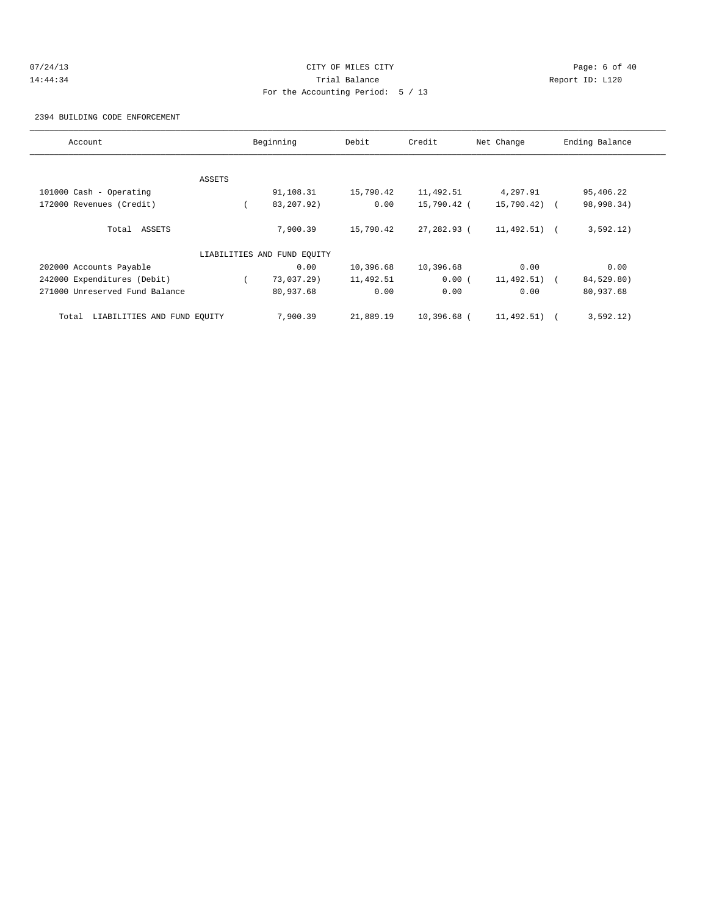# 07/24/13 Page: 6 of 40 14:44:34 Trial Balance Report ID: L120 For the Accounting Period: 5 / 13

2394 BUILDING CODE ENFORCEMENT

| Account                              |        | Beginning                   | Debit     | Credit      | Net Change     | Ending Balance |
|--------------------------------------|--------|-----------------------------|-----------|-------------|----------------|----------------|
|                                      |        |                             |           |             |                |                |
|                                      | ASSETS |                             |           |             |                |                |
| 101000 Cash - Operating              |        | 91,108.31                   | 15,790.42 | 11,492.51   | 4,297.91       | 95,406.22      |
| 172000 Revenues (Credit)             |        | 83, 207. 92)                | 0.00      | 15,790.42 ( | 15,790.42) (   | 98,998.34)     |
| Total ASSETS                         |        | 7,900.39                    | 15,790.42 | 27,282.93 ( | $11,492.51)$ ( | 3,592.12)      |
|                                      |        | LIABILITIES AND FUND EOUITY |           |             |                |                |
| 202000 Accounts Payable              |        | 0.00                        | 10,396.68 | 10,396.68   | 0.00           | 0.00           |
| 242000 Expenditures (Debit)          |        | 73,037.29)                  | 11,492.51 | 0.00(       | $11,492.51$ (  | 84,529.80)     |
| 271000 Unreserved Fund Balance       |        | 80,937.68                   | 0.00      | 0.00        | 0.00           | 80,937.68      |
| LIABILITIES AND FUND EQUITY<br>Total |        | 7,900.39                    | 21,889.19 | 10,396.68 ( | 11,492.51)     | 3,592.12)      |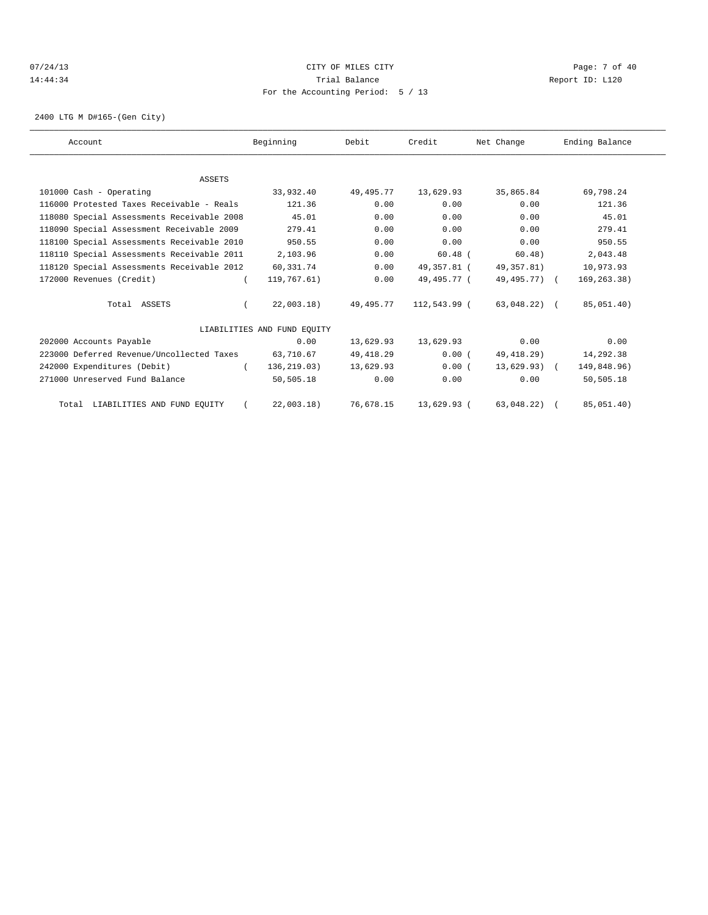# 07/24/13 Page: 7 of 40 14:44:34 Trial Balance Report ID: L120 For the Accounting Period: 5 / 13

2400 LTG M D#165-(Gen City)

| Account                                    | Beginning                   | Debit     | Credit       | Net Change     | Ending Balance |  |
|--------------------------------------------|-----------------------------|-----------|--------------|----------------|----------------|--|
|                                            |                             |           |              |                |                |  |
| <b>ASSETS</b>                              |                             |           |              |                |                |  |
| 101000 Cash - Operating                    | 33,932.40                   | 49,495.77 | 13,629.93    | 35,865.84      | 69,798.24      |  |
| 116000 Protested Taxes Receivable - Reals  | 121.36                      | 0.00      | 0.00         | 0.00           | 121.36         |  |
| 118080 Special Assessments Receivable 2008 | 45.01                       | 0.00      | 0.00         | 0.00           | 45.01          |  |
| 118090 Special Assessment Receivable 2009  | 279.41                      | 0.00      | 0.00         | 0.00           | 279.41         |  |
| 118100 Special Assessments Receivable 2010 | 950.55                      | 0.00      | 0.00         | 0.00           | 950.55         |  |
| 118110 Special Assessments Receivable 2011 | 2,103.96                    | 0.00      | $60.48$ (    | 60.48)         | 2,043.48       |  |
| 118120 Special Assessments Receivable 2012 | 60,331.74                   | 0.00      | 49,357.81 (  | 49,357.81)     | 10,973.93      |  |
| 172000 Revenues (Credit)                   | 119,767.61)                 | 0.00      | 49,495.77 (  | 49,495.77) (   | 169, 263.38)   |  |
| Total ASSETS                               | 22,003.18)                  | 49,495.77 | 112,543.99 ( | $63,048,22)$ ( | 85,051.40)     |  |
|                                            | LIABILITIES AND FUND EOUITY |           |              |                |                |  |
| 202000 Accounts Payable                    | 0.00                        | 13,629.93 | 13,629.93    | 0.00           | 0.00           |  |
| 223000 Deferred Revenue/Uncollected Taxes  | 63,710.67                   | 49,418.29 | 0.00(        | 49,418.29)     | 14,292.38      |  |
| 242000 Expenditures (Debit)                | 136, 219.03)<br>$\left($    | 13,629.93 | 0.00(        | $13,629.93)$ ( | 149,848.96)    |  |
| 271000 Unreserved Fund Balance             | 50,505.18                   | 0.00      | 0.00         | 0.00           | 50,505.18      |  |
| Total LIABILITIES AND FUND EQUITY          | 22,003.18)                  | 76,678.15 | 13,629.93 (  | 63,048.22)     | 85,051.40)     |  |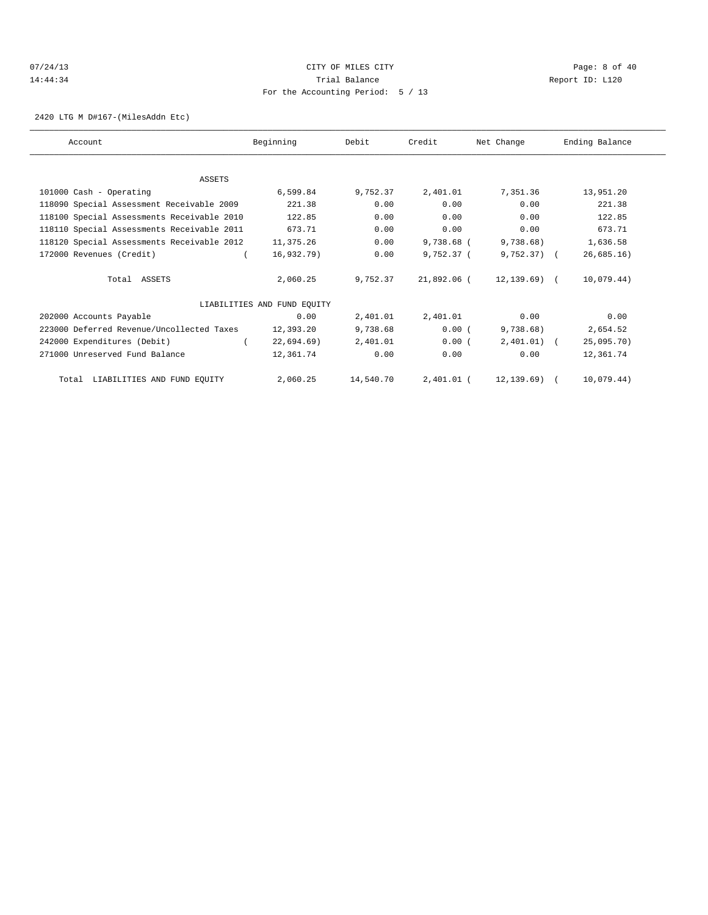# 07/24/13 Page: 8 of 40 14:44:34 Trial Balance Report ID: L120 For the Accounting Period: 5 / 13

2420 LTG M D#167-(MilesAddn Etc)

| Account                                    | Beginning                   | Debit     | Credit       | Net Change    | Ending Balance |
|--------------------------------------------|-----------------------------|-----------|--------------|---------------|----------------|
|                                            |                             |           |              |               |                |
| <b>ASSETS</b>                              |                             |           |              |               |                |
| 101000 Cash - Operating                    | 6,599.84                    | 9,752.37  | 2,401.01     | 7,351.36      | 13,951.20      |
| 118090 Special Assessment Receivable 2009  | 221.38                      | 0.00      | 0.00         | 0.00          | 221.38         |
| 118100 Special Assessments Receivable 2010 | 122.85                      | 0.00      | 0.00         | 0.00          | 122.85         |
| 118110 Special Assessments Receivable 2011 | 673.71                      | 0.00      | 0.00         | 0.00          | 673.71         |
| 118120 Special Assessments Receivable 2012 | 11,375.26                   | 0.00      | 9,738.68 (   | 9,738.68)     | 1,636.58       |
| 172000 Revenues (Credit)                   | 16,932.79)                  | 0.00      | $9.752.37$ ( | $9,752.37$ (  | 26,685.16)     |
| Total ASSETS                               | 2,060.25                    | 9,752.37  | 21,892.06 (  | 12,139.69) (  | 10,079.44)     |
|                                            | LIABILITIES AND FUND EQUITY |           |              |               |                |
| 202000 Accounts Payable                    | 0.00                        | 2,401.01  | 2,401.01     | 0.00          | 0.00           |
| 223000 Deferred Revenue/Uncollected Taxes  | 12,393.20                   | 9,738.68  | 0.00(        | 9,738.68)     | 2,654.52       |
| 242000 Expenditures (Debit)                | $22,694.69$ )               | 2,401.01  | 0.00(        | $2,401.01)$ ( | 25,095.70)     |
| 271000 Unreserved Fund Balance             | 12,361.74                   | 0.00      | 0.00         | 0.00          | 12,361.74      |
| Total LIABILITIES AND FUND EQUITY          | 2,060.25                    | 14,540.70 | 2,401.01 (   | 12,139.69) (  | 10,079.44)     |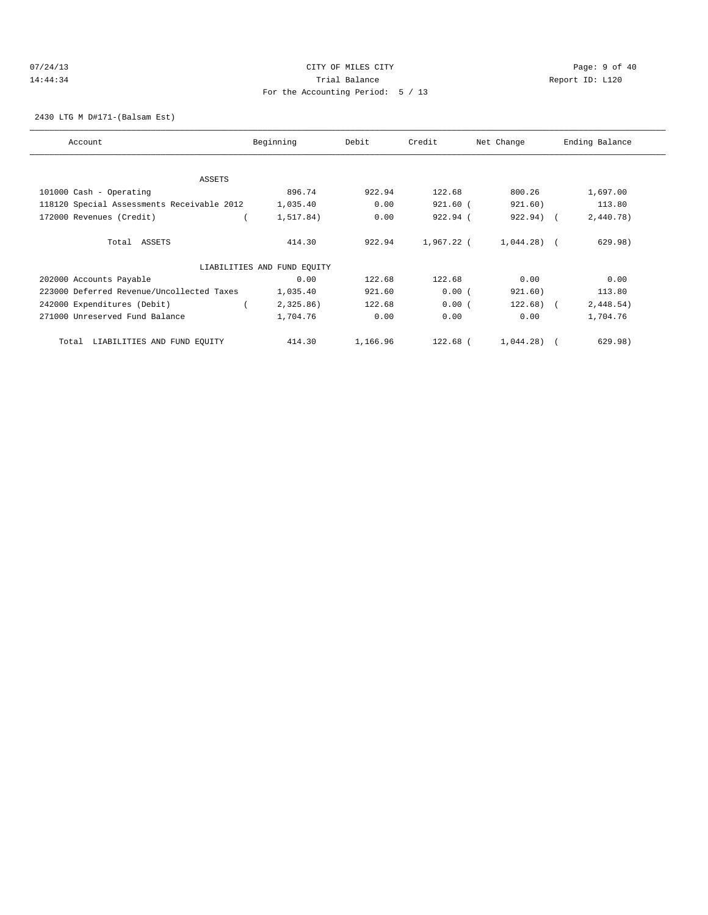# 07/24/13 Page: 9 of 40 14:44:34 Trial Balance Report ID: L120 For the Accounting Period: 5 / 13

# 2430 LTG M D#171-(Balsam Est)

| Account                                    | Beginning                   | Debit    | Credit     | Net Change   | Ending Balance |
|--------------------------------------------|-----------------------------|----------|------------|--------------|----------------|
| ASSETS                                     |                             |          |            |              |                |
| 101000 Cash - Operating                    | 896.74                      | 922.94   | 122.68     | 800.26       | 1,697.00       |
| 118120 Special Assessments Receivable 2012 | 1,035.40                    | 0.00     | 921.60 (   | 921.60)      | 113.80         |
| 172000 Revenues (Credit)                   | 1,517.84)                   | 0.00     | 922.94 (   | 922.94) (    | 2,440.78)      |
| Total ASSETS                               | 414.30                      | 922.94   | 1,967.22 ( | $1,044.28$ ( | 629.98)        |
|                                            | LIABILITIES AND FUND EQUITY |          |            |              |                |
| 202000 Accounts Payable                    | 0.00                        | 122.68   | 122.68     | 0.00         | 0.00           |
| 223000 Deferred Revenue/Uncollected Taxes  | 1,035.40                    | 921.60   | 0.00(      | 921.60)      | 113.80         |
| 242000 Expenditures (Debit)                | 2,325.86)                   | 122.68   | 0.00(      | $122.68$ ) ( | 2,448.54)      |
| 271000 Unreserved Fund Balance             | 1,704.76                    | 0.00     | 0.00       | 0.00         | 1,704.76       |
| LIABILITIES AND FUND EQUITY<br>Total       | 414.30                      | 1,166.96 | 122.68 (   | $1,044.28$ ( | 629.98)        |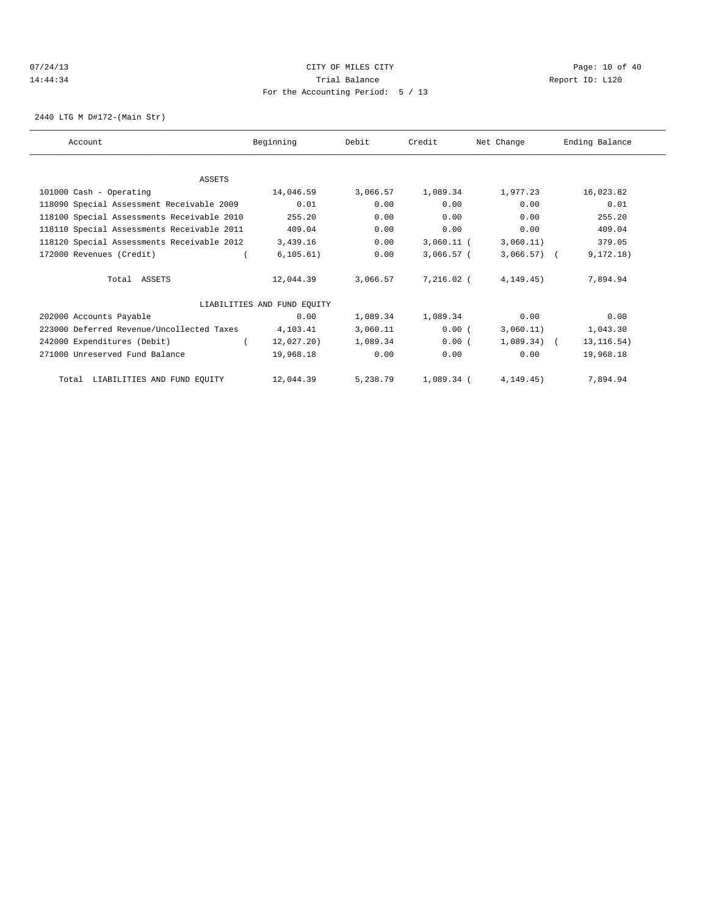# 07/24/13 Page: 10 of 40 14:44:34 Trial Balance Report ID: L120 For the Accounting Period: 5 / 13

2440 LTG M D#172-(Main Str)

| Account                                    | Beginning                   | Debit    | Credit       | Net Change     | Ending Balance |
|--------------------------------------------|-----------------------------|----------|--------------|----------------|----------------|
|                                            |                             |          |              |                |                |
| ASSETS                                     |                             |          |              |                |                |
| 101000 Cash - Operating                    | 14,046.59                   | 3,066.57 | 1,089.34     | 1,977.23       | 16,023.82      |
| 118090 Special Assessment Receivable 2009  | 0.01                        | 0.00     | 0.00         | 0.00           | 0.01           |
| 118100 Special Assessments Receivable 2010 | 255.20                      | 0.00     | 0.00         | 0.00           | 255.20         |
| 118110 Special Assessments Receivable 2011 | 409.04                      | 0.00     | 0.00         | 0.00           | 409.04         |
| 118120 Special Assessments Receivable 2012 | 3,439.16                    | 0.00     | $3,060.11$ ( | 3,060.11)      | 379.05         |
| 172000 Revenues (Credit)                   | 6, 105.61)                  | 0.00     | 3,066.57 (   | $3,066.57$ ) ( | 9, 172.18)     |
| Total ASSETS                               | 12,044.39                   | 3,066.57 | 7,216.02 (   | 4, 149.45)     | 7,894.94       |
|                                            | LIABILITIES AND FUND EQUITY |          |              |                |                |
| 202000 Accounts Payable                    | 0.00                        | 1,089.34 | 1,089.34     | 0.00           | 0.00           |
| 223000 Deferred Revenue/Uncollected Taxes  | 4,103.41                    | 3,060.11 | 0.00(        | 3,060.11)      | 1,043.30       |
| 242000 Expenditures (Debit)                | 12,027.20)                  | 1,089.34 | 0.00(        | $1,089.34$ (   | 13, 116.54)    |
| 271000 Unreserved Fund Balance             | 19,968.18                   | 0.00     | 0.00         | 0.00           | 19,968.18      |
| LIABILITIES AND FUND EQUITY<br>Total       | 12,044.39                   | 5,238.79 | 1,089.34 (   | 4, 149.45)     | 7,894.94       |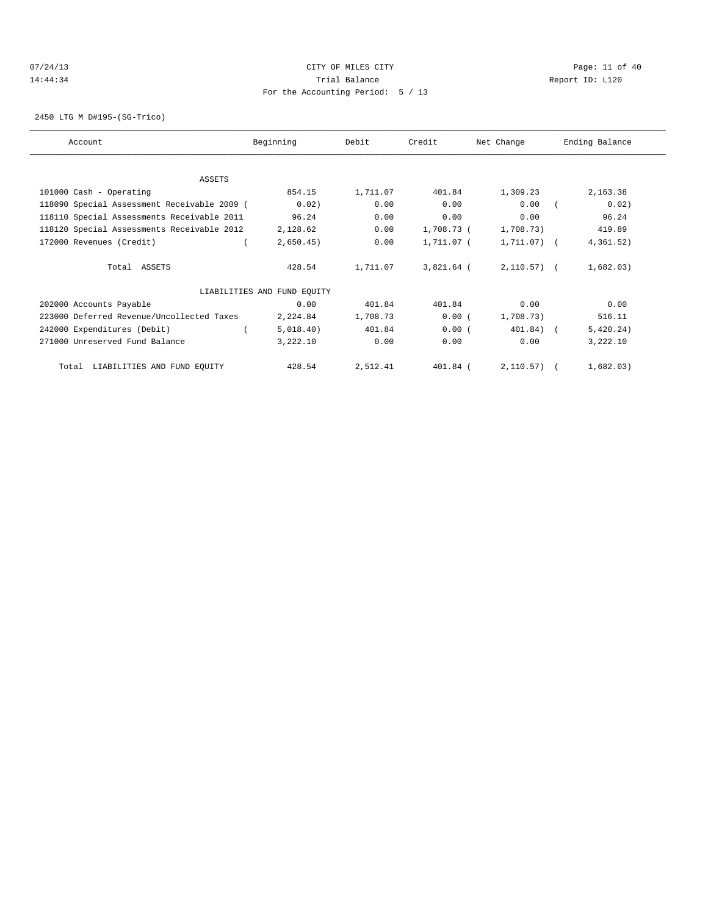# 07/24/13 Page: 11 of 40 14:44:34 Trial Balance Report ID: L120 For the Accounting Period: 5 / 13

2450 LTG M D#195-(SG-Trico)

| Account                                     | Beginning                   | Debit    | Credit     | Net Change     | Ending Balance |
|---------------------------------------------|-----------------------------|----------|------------|----------------|----------------|
|                                             |                             |          |            |                |                |
| ASSETS                                      |                             |          |            |                |                |
| 101000 Cash - Operating                     | 854.15                      | 1,711.07 | 401.84     | 1,309.23       | 2,163.38       |
| 118090 Special Assessment Receivable 2009 ( | 0.02)                       | 0.00     | 0.00       | 0.00           | 0.02)          |
| 118110 Special Assessments Receivable 2011  | 96.24                       | 0.00     | 0.00       | 0.00           | 96.24          |
| 118120 Special Assessments Receivable 2012  | 2,128.62                    | 0.00     | 1,708.73 ( | 1,708.73)      | 419.89         |
| 172000 Revenues (Credit)                    | 2,650.45)                   | 0.00     | 1,711.07 ( | 1,711.07) (    | 4,361.52)      |
| Total ASSETS                                | 428.54                      | 1,711.07 | 3,821.64 ( | $2,110.57$ ) ( | 1,682.03)      |
|                                             | LIABILITIES AND FUND EQUITY |          |            |                |                |
| 202000 Accounts Payable                     | 0.00                        | 401.84   | 401.84     | 0.00           | 0.00           |
| 223000 Deferred Revenue/Uncollected Taxes   | 2,224.84                    | 1,708.73 | 0.00(      | 1,708.73)      | 516.11         |
| 242000 Expenditures (Debit)                 | 5,018.40)                   | 401.84   | 0.00(      | 401.84) (      | 5,420.24)      |
| 271000 Unreserved Fund Balance              | 3,222.10                    | 0.00     | 0.00       | 0.00           | 3,222.10       |
| Total LIABILITIES AND FUND EQUITY           | 428.54                      | 2,512.41 | 401.84 (   | $2,110.57$ (   | 1,682.03)      |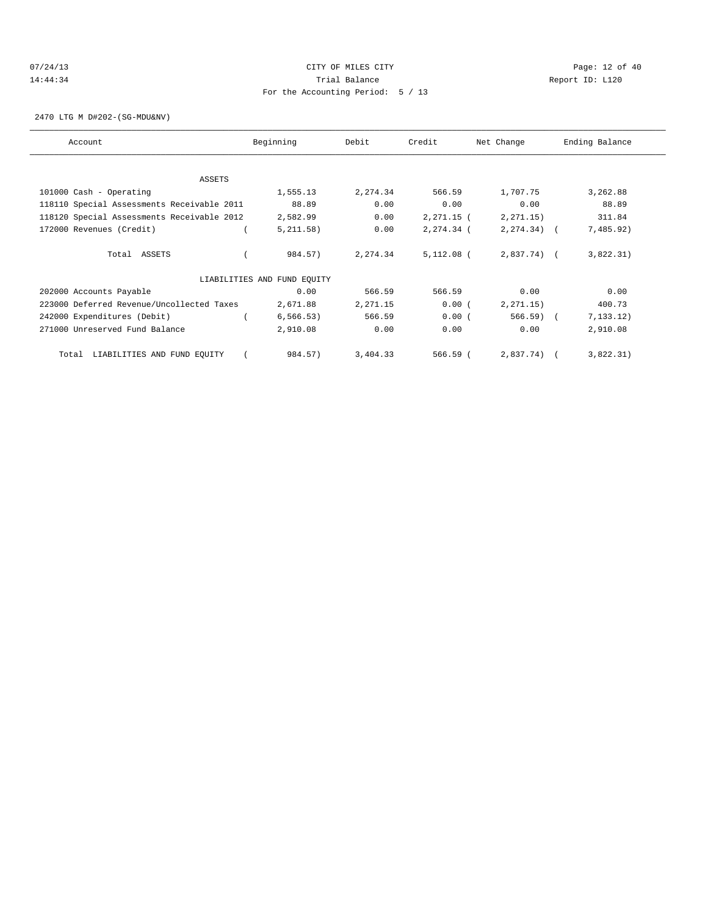# 07/24/13 Page: 12 of 40 14:44:34 Trial Balance Report ID: L120 For the Accounting Period: 5 / 13

2470 LTG M D#202-(SG-MDU&NV)

| Account                                    | Beginning                   | Debit    | Credit       | Net Change     | Ending Balance |
|--------------------------------------------|-----------------------------|----------|--------------|----------------|----------------|
|                                            |                             |          |              |                |                |
| ASSETS                                     |                             |          |              |                |                |
| 101000 Cash - Operating                    | 1,555.13                    | 2,274.34 | 566.59       | 1,707.75       | 3,262.88       |
| 118110 Special Assessments Receivable 2011 | 88.89                       | 0.00     | 0.00         | 0.00           | 88.89          |
| 118120 Special Assessments Receivable 2012 | 2,582.99                    | 0.00     | $2,271.15$ ( | 2, 271.15)     | 311.84         |
| 172000 Revenues (Credit)                   | 5, 211.58)                  | 0.00     | 2,274.34 (   | $2, 274.34)$ ( | 7,485.92)      |
| Total ASSETS                               | 984.57)                     | 2,274.34 | $5,112.08$ ( | $2,837.74$ (   | 3,822.31)      |
|                                            | LIABILITIES AND FUND EQUITY |          |              |                |                |
| 202000 Accounts Payable                    | 0.00                        | 566.59   | 566.59       | 0.00           | 0.00           |
| 223000 Deferred Revenue/Uncollected Taxes  | 2,671.88                    | 2,271.15 | 0.00(        | 2, 271.15)     | 400.73         |
| 242000 Expenditures (Debit)                | 6, 566.53)                  | 566.59   | 0.00(        | 566.59)        | 7, 133, 12)    |
| 271000 Unreserved Fund Balance             | 2,910.08                    | 0.00     | 0.00         | 0.00           | 2,910.08       |
| LIABILITIES AND FUND EQUITY<br>Total       | 984.57)                     | 3,404.33 | 566.59 (     | 2,837.74)      | 3,822.31)      |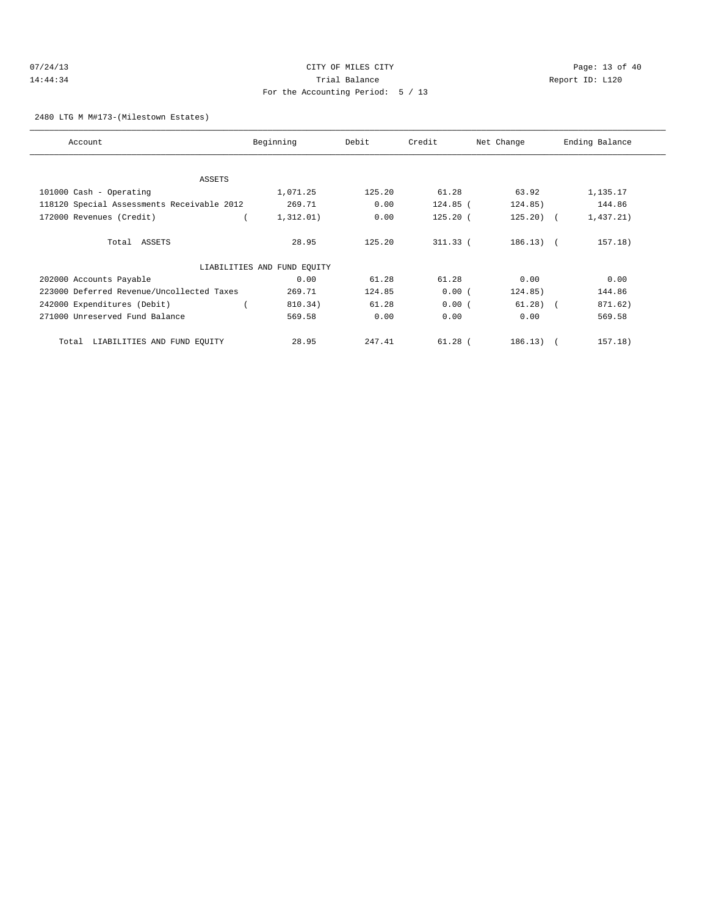# 2480 LTG M M#173-(Milestown Estates)

| Account                                    | Beginning                   | Debit  | Credit     | Net Change  | Ending Balance |
|--------------------------------------------|-----------------------------|--------|------------|-------------|----------------|
|                                            |                             |        |            |             |                |
| ASSETS                                     |                             |        |            |             |                |
| 101000 Cash - Operating                    | 1,071.25                    | 125.20 | 61.28      | 63.92       | 1,135.17       |
| 118120 Special Assessments Receivable 2012 | 269.71                      | 0.00   | $124.85$ ( | 124.85)     | 144.86         |
| 172000 Revenues (Credit)                   | 1,312.01)                   | 0.00   | $125.20$ ( | $125.20$ (  | 1,437.21)      |
| Total ASSETS                               | 28.95                       | 125.20 | $311.33$ ( | $186.13)$ ( | 157.18)        |
|                                            | LIABILITIES AND FUND EQUITY |        |            |             |                |
| 202000 Accounts Payable                    | 0.00                        | 61.28  | 61.28      | 0.00        | 0.00           |
| 223000 Deferred Revenue/Uncollected Taxes  | 269.71                      | 124.85 | 0.00(      | 124.85)     | 144.86         |
| 242000 Expenditures (Debit)                | 810.34)                     | 61.28  | 0.00(      | $61.28$ (   | 871.62)        |
| 271000 Unreserved Fund Balance             | 569.58                      | 0.00   | 0.00       | 0.00        | 569.58         |
| LIABILITIES AND FUND EQUITY<br>Total       | 28.95                       | 247.41 | $61.28$ (  | 186.13)     | 157.18)        |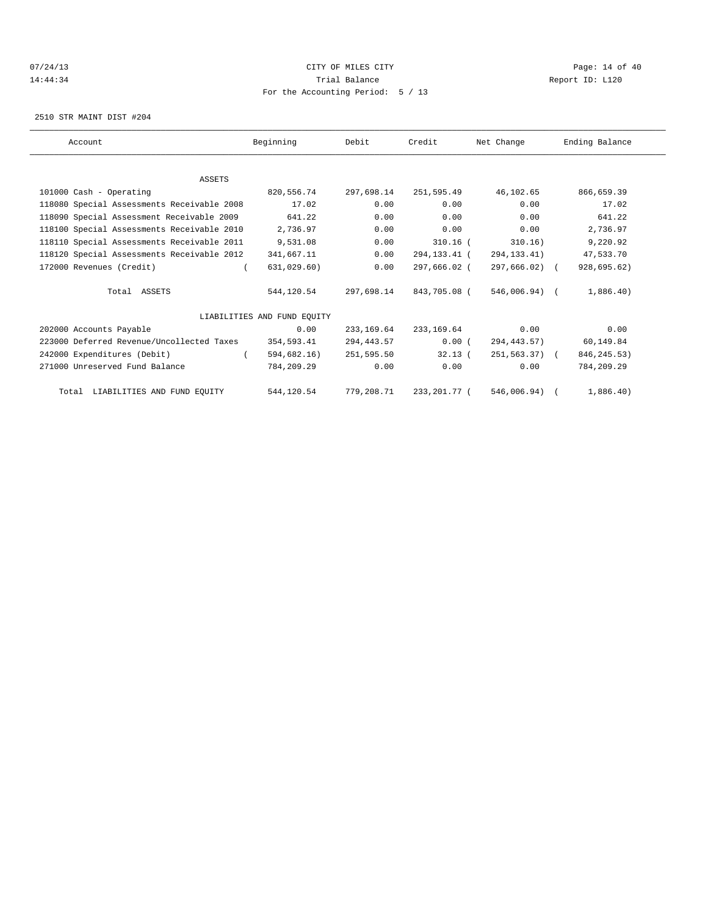# $07/24/13$  Page: 14 of 40 14:44:34 Trial Balance Report ID: L120 For the Accounting Period: 5 / 13

2510 STR MAINT DIST #204

| Account                                    | Beginning                   | Debit       | Credit       | Net Change       | Ending Balance |
|--------------------------------------------|-----------------------------|-------------|--------------|------------------|----------------|
|                                            |                             |             |              |                  |                |
| <b>ASSETS</b>                              |                             |             |              |                  |                |
| 101000 Cash - Operating                    | 820,556.74                  | 297,698.14  | 251,595.49   | 46,102.65        | 866,659.39     |
| 118080 Special Assessments Receivable 2008 | 17.02                       | 0.00        | 0.00         | 0.00             | 17.02          |
| 118090 Special Assessment Receivable 2009  | 641.22                      | 0.00        | 0.00         | 0.00             | 641.22         |
| 118100 Special Assessments Receivable 2010 | 2,736.97                    | 0.00        | 0.00         | 0.00             | 2,736.97       |
| 118110 Special Assessments Receivable 2011 | 9,531.08                    | 0.00        | $310.16$ (   | 310.16)          | 9,220.92       |
| 118120 Special Assessments Receivable 2012 | 341,667.11                  | 0.00        | 294,133.41 ( | 294, 133. 41)    | 47,533.70      |
| 172000 Revenues (Credit)                   | 631,029.60)                 | 0.00        | 297,666.02 ( | 297,666.02) (    | 928,695.62)    |
| Total ASSETS                               | 544,120.54                  | 297,698.14  | 843,705.08 ( | 546,006.94) (    | 1,886.40)      |
|                                            | LIABILITIES AND FUND EOUITY |             |              |                  |                |
| 202000 Accounts Payable                    | 0.00                        | 233, 169.64 | 233,169.64   | 0.00             | 0.00           |
| 223000 Deferred Revenue/Uncollected Taxes  | 354,593.41                  | 294,443.57  | 0.00(        | 294,443.57)      | 60,149.84      |
| 242000 Expenditures (Debit)                | 594,682.16)                 | 251,595.50  | 32.13(       | $251, 563, 37$ ( | 846, 245. 53)  |
| 271000 Unreserved Fund Balance             | 784,209.29                  | 0.00        | 0.00         | 0.00             | 784,209.29     |
| Total LIABILITIES AND FUND EQUITY          | 544,120.54                  | 779,208.71  | 233,201.77 ( | 546,006.94) (    | 1,886.40)      |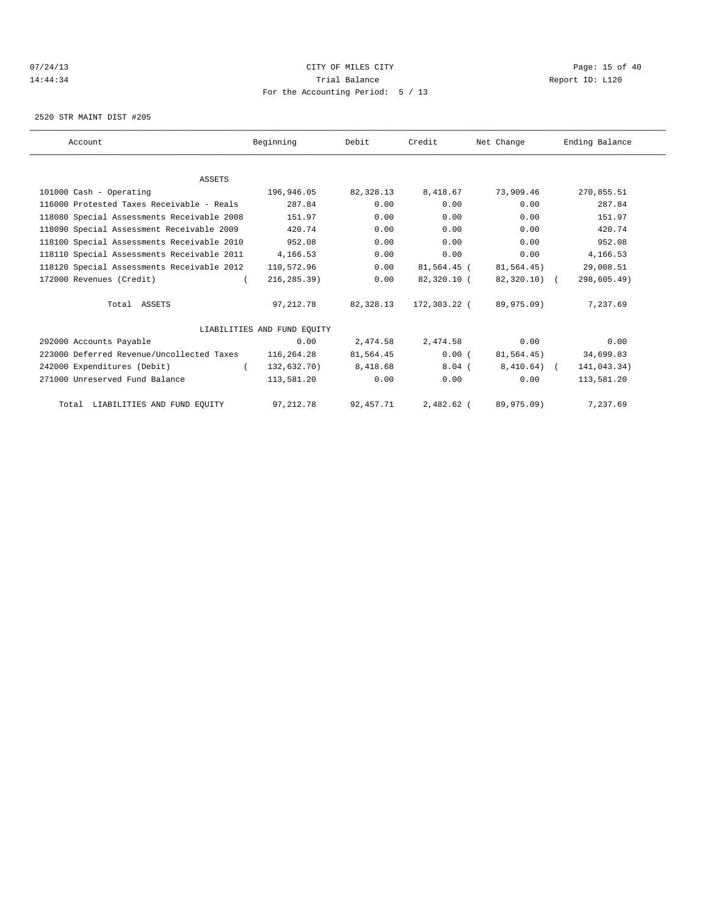# 07/24/13 Page: 15 of 40 14:44:34 Trial Balance Report ID: L120 For the Accounting Period: 5 / 13

2520 STR MAINT DIST #205

| Account                                    | Beginning                   | Debit       | Credit       | Net Change   | Ending Balance |  |
|--------------------------------------------|-----------------------------|-------------|--------------|--------------|----------------|--|
|                                            |                             |             |              |              |                |  |
| <b>ASSETS</b>                              |                             |             |              |              |                |  |
| 101000 Cash - Operating                    | 196,946.05                  | 82,328.13   | 8,418.67     | 73,909.46    | 270,855.51     |  |
| 116000 Protested Taxes Receivable - Reals  | 287.84                      | 0.00        | 0.00         | 0.00         | 287.84         |  |
| 118080 Special Assessments Receivable 2008 | 151.97                      | 0.00        | 0.00         | 0.00         | 151.97         |  |
| 118090 Special Assessment Receivable 2009  | 420.74                      | 0.00        | 0.00         | 0.00         | 420.74         |  |
| 118100 Special Assessments Receivable 2010 | 952.08                      | 0.00        | 0.00         | 0.00         | 952.08         |  |
| 118110 Special Assessments Receivable 2011 | 4,166.53                    | 0.00        | 0.00         | 0.00         | 4,166.53       |  |
| 118120 Special Assessments Receivable 2012 | 110,572.96                  | 0.00        | 81,564.45 (  | 81,564.45)   | 29,008.51      |  |
| 172000 Revenues (Credit)                   | 216, 285.39                 | 0.00        | 82,320.10 (  | 82,320.10) ( | 298,605.49)    |  |
| Total ASSETS                               | 97, 212.78                  | 82,328.13   | 172,303.22 ( | 89,975.09)   | 7.237.69       |  |
|                                            | LIABILITIES AND FUND EOUITY |             |              |              |                |  |
| 202000 Accounts Payable                    | 0.00                        | 2,474.58    | 2,474.58     | 0.00         | 0.00           |  |
| 223000 Deferred Revenue/Uncollected Taxes  | 116,264.28                  | 81,564.45   | 0.00(        | 81,564.45)   | 34,699.83      |  |
| 242000 Expenditures (Debit)                | 132,632.70)<br>$\sqrt{2}$   | 8,418.68    | $8.04$ (     | $8,410.64$ ( | 141,043.34)    |  |
| 271000 Unreserved Fund Balance             | 113,581.20                  | 0.00        | 0.00         | 0.00         | 113,581.20     |  |
| Total LIABILITIES AND FUND EQUITY          | 97, 212.78                  | 92, 457. 71 | 2,482.62 (   | 89,975.09)   | 7,237.69       |  |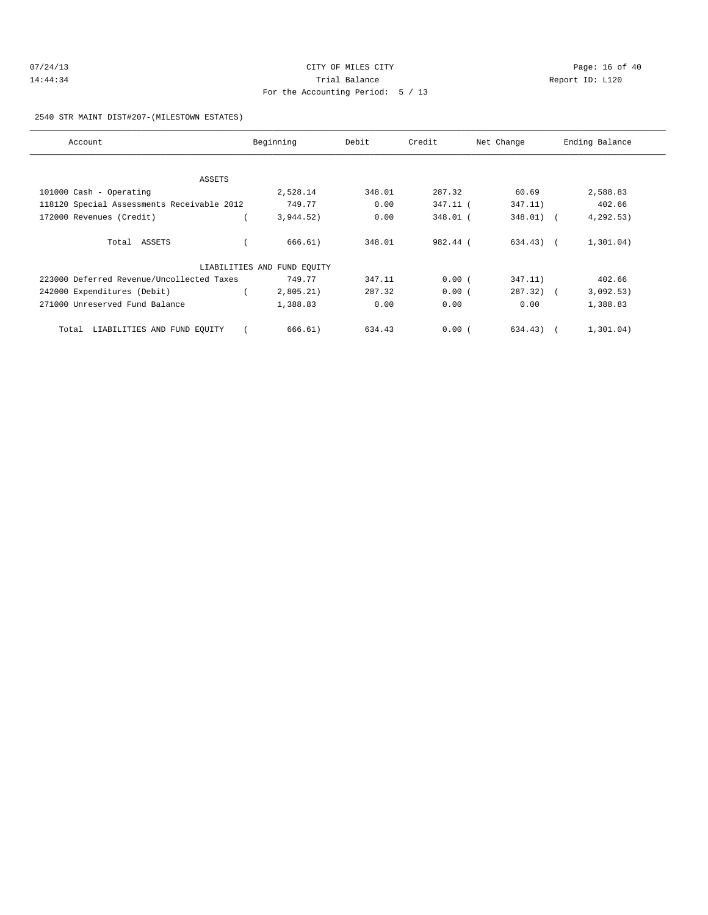| 07/24/13 | CITY OF MILES CITY                | Page: 16 of 40  |
|----------|-----------------------------------|-----------------|
| 14:44:34 | Trial Balance                     | Report ID: L120 |
|          | For the Accounting Period: 5 / 13 |                 |

2540 STR MAINT DIST#207-(MILESTOWN ESTATES)

| Account                                    | Beginning                   | Debit  | Credit   | Net Change   | Ending Balance |
|--------------------------------------------|-----------------------------|--------|----------|--------------|----------------|
|                                            |                             |        |          |              |                |
| ASSETS                                     |                             |        |          |              |                |
| 101000 Cash - Operating                    | 2,528.14                    | 348.01 | 287.32   | 60.69        | 2,588.83       |
| 118120 Special Assessments Receivable 2012 | 749.77                      | 0.00   | 347.11 ( | 347.11)      | 402.66         |
| 172000 Revenues (Credit)                   | 3,944.52)                   | 0.00   | 348.01 ( | $348.01)$ (  | 4, 292.53)     |
| Total ASSETS                               | 666.61)                     | 348.01 | 982.44 ( | $634.43$ ) ( | 1,301.04)      |
|                                            | LIABILITIES AND FUND EQUITY |        |          |              |                |
| 223000 Deferred Revenue/Uncollected Taxes  | 749.77                      | 347.11 | 0.00(    | 347.11)      | 402.66         |
| 242000 Expenditures (Debit)                | 2,805.21)                   | 287.32 | 0.00(    | $287.32)$ (  | 3,092.53)      |
| 271000 Unreserved Fund Balance             | 1,388.83                    | 0.00   | 0.00     | 0.00         | 1,388.83       |
| Total LIABILITIES AND FUND EQUITY          | 666.61)                     | 634.43 | 0.00(    | 634.43)      | 1,301.04)      |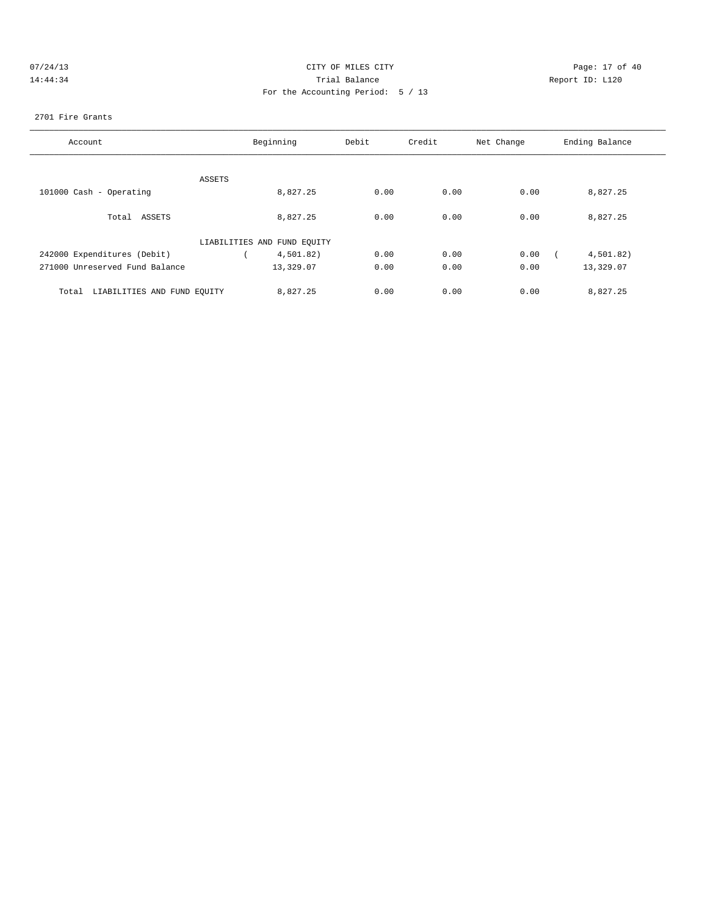|  | 07/24/13 |  |
|--|----------|--|
|  | 14:44:34 |  |

# CITY OF MILES CITY CONTROL CONTROL CONTROL CITY OF 40 14:34 Trial Balance Report ID: L120 For the Accounting Period: 5 / 13

### 2701 Fire Grants

| Account                              | Beginning                   | Debit | Credit | Net Change | Ending Balance |
|--------------------------------------|-----------------------------|-------|--------|------------|----------------|
|                                      |                             |       |        |            |                |
|                                      |                             |       |        |            |                |
| ASSETS                               |                             |       |        |            |                |
| 101000 Cash - Operating              | 8,827.25                    | 0.00  | 0.00   | 0.00       | 8,827.25       |
|                                      |                             |       |        |            |                |
| Total ASSETS                         | 8.827.25                    | 0.00  | 0.00   | 0.00       | 8,827.25       |
|                                      | LIABILITIES AND FUND EQUITY |       |        |            |                |
| 242000 Expenditures (Debit)          | 4,501.82)                   | 0.00  | 0.00   | 0.00       | 4,501.82)      |
|                                      |                             |       |        |            |                |
| 271000 Unreserved Fund Balance       | 13,329.07                   | 0.00  | 0.00   | 0.00       | 13,329.07      |
| LIABILITIES AND FUND EQUITY<br>Total | 8,827.25                    | 0.00  | 0.00   | 0.00       | 8,827.25       |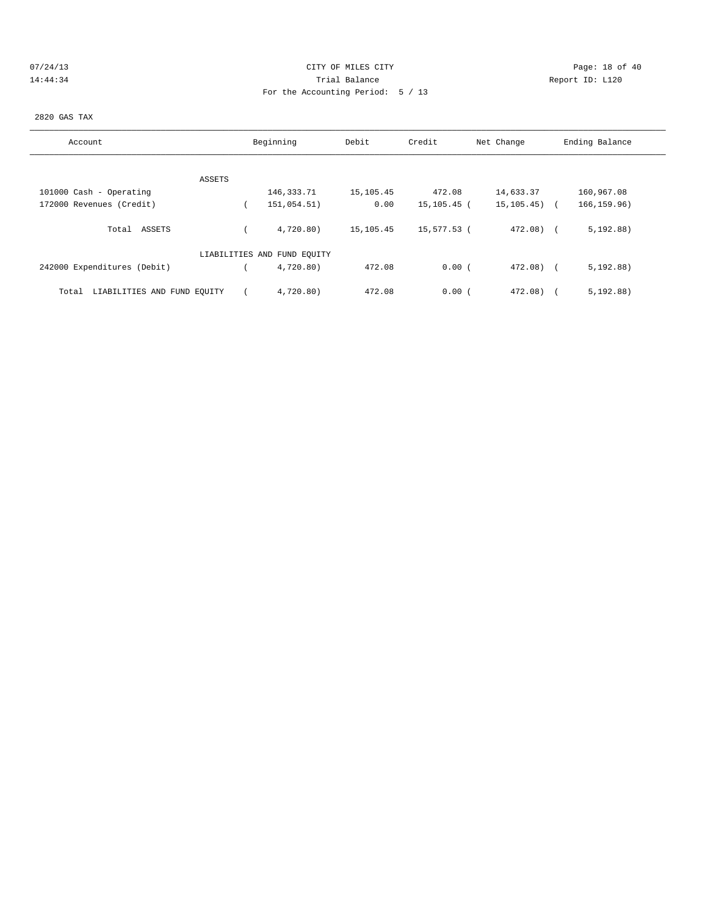# 07/24/13 Page: 18 of 40 14:44:34 Trial Balance Report ID: L120 For the Accounting Period: 5 / 13

#### 2820 GAS TAX

| Account                              | Beginning |                             | Credit<br>Debit |             | Net Change       | Ending Balance |
|--------------------------------------|-----------|-----------------------------|-----------------|-------------|------------------|----------------|
|                                      |           |                             |                 |             |                  |                |
| ASSETS                               |           |                             |                 |             |                  |                |
| 101000 Cash - Operating              |           | 146,333.71                  | 15,105.45       | 472.08      | 14,633.37        | 160,967.08     |
| 172000 Revenues (Credit)             |           | 151,054.51)                 | 0.00            | 15,105.45 ( | $15, 105, 45)$ ( | 166, 159.96)   |
| ASSETS<br>Total                      |           | 4,720.80)                   | 15,105.45       | 15,577.53 ( | 472.08) (        | 5, 192.88)     |
|                                      |           | LIABILITIES AND FUND EQUITY |                 |             |                  |                |
| 242000 Expenditures (Debit)          |           | 4,720.80)                   | 472.08          | 0.00(       | $472.08$ $($     | 5, 192.88)     |
| LIABILITIES AND FUND EQUITY<br>Total |           | 4,720.80)                   | 472.08          | 0.00(       | 472.08)          | 5, 192.88)     |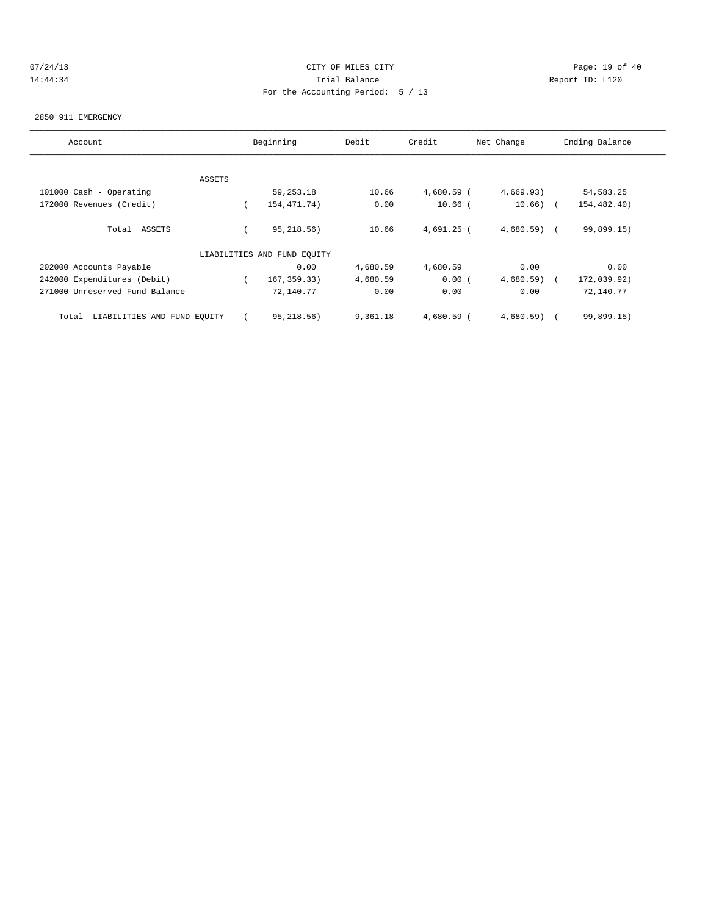# 07/24/13 Page: 19 of 40 14:44:34 Trial Balance Report ID: L120 For the Accounting Period: 5 / 13

### 2850 911 EMERGENCY

| Account                              | Beginning |                             | Credit<br>Debit |            | Net Change   | Ending Balance |  |  |
|--------------------------------------|-----------|-----------------------------|-----------------|------------|--------------|----------------|--|--|
|                                      |           |                             |                 |            |              |                |  |  |
|                                      | ASSETS    |                             |                 |            |              |                |  |  |
| 101000 Cash - Operating              |           | 59, 253. 18                 | 10.66           | 4,680.59 ( | 4,669.93)    | 54, 583. 25    |  |  |
| 172000 Revenues (Credit)             |           | 154, 471.74)                | 0.00            | $10.66$ (  | $10.66)$ (   | 154,482.40)    |  |  |
| Total ASSETS                         |           | 95, 218.56)                 | 10.66           | 4,691.25 ( | $4,680.59$ ( | 99,899.15)     |  |  |
|                                      |           | LIABILITIES AND FUND EQUITY |                 |            |              |                |  |  |
| 202000 Accounts Payable              |           | 0.00                        | 4,680.59        | 4,680.59   | 0.00         | 0.00           |  |  |
| 242000 Expenditures (Debit)          |           | 167, 359.33)                | 4,680.59        | 0.00(      | 4,680.59)    | 172,039.92)    |  |  |
| 271000 Unreserved Fund Balance       |           | 72,140.77                   | 0.00            | 0.00       | 0.00         | 72,140.77      |  |  |
| LIABILITIES AND FUND EQUITY<br>Total |           | 95,218.56)                  | 9,361.18        | 4,680.59 ( | 4,680.59)    | 99,899.15)     |  |  |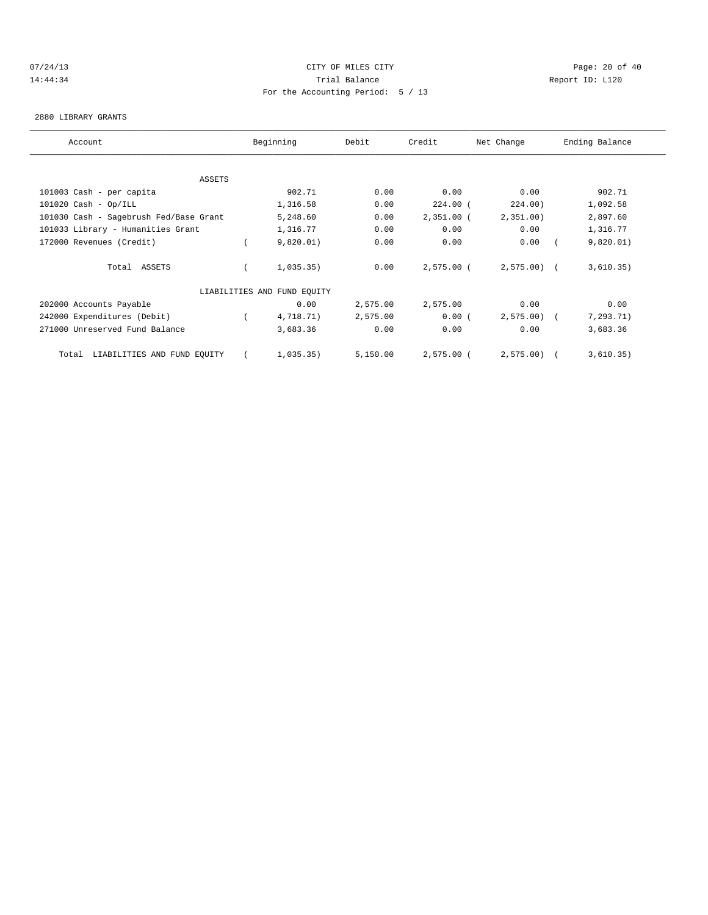# 07/24/13 Page: 20 of 40 14:44:34 Trial Balance Report ID: L120 For the Accounting Period: 5 / 13

#### 2880 LIBRARY GRANTS

| Account                                |  | Beginning                   | Debit    | Credit       | Net Change   | Ending Balance |            |  |
|----------------------------------------|--|-----------------------------|----------|--------------|--------------|----------------|------------|--|
|                                        |  |                             |          |              |              |                |            |  |
| ASSETS                                 |  |                             |          |              |              |                |            |  |
| 101003 Cash - per capita               |  | 902.71                      | 0.00     | 0.00         | 0.00         |                | 902.71     |  |
| $101020$ Cash - Op/ILL                 |  | 1,316.58                    | 0.00     | $224.00$ (   | 224.00)      |                | 1,092.58   |  |
| 101030 Cash - Sagebrush Fed/Base Grant |  | 5,248.60                    | 0.00     | $2,351.00$ ( | 2,351.00)    |                | 2,897.60   |  |
| 101033 Library - Humanities Grant      |  | 1,316.77                    | 0.00     | 0.00         | 0.00         |                | 1,316.77   |  |
| 172000 Revenues (Credit)               |  | 9,820.01)                   | 0.00     | 0.00         | 0.00         |                | 9,820.01)  |  |
| Total ASSETS                           |  | 1,035.35)                   | 0.00     | $2,575.00$ ( | $2,575.00$ ( |                | 3,610.35)  |  |
|                                        |  | LIABILITIES AND FUND EQUITY |          |              |              |                |            |  |
| 202000 Accounts Payable                |  | 0.00                        | 2,575.00 | 2,575.00     | 0.00         |                | 0.00       |  |
| 242000 Expenditures (Debit)            |  | 4,718.71)                   | 2,575.00 | 0.00(        | $2,575.00$ ( |                | 7, 293.71) |  |
| 271000 Unreserved Fund Balance         |  | 3,683.36                    | 0.00     | 0.00         | 0.00         |                | 3,683.36   |  |
| Total LIABILITIES AND FUND EQUITY      |  | 1,035.35)                   | 5,150.00 | $2,575.00$ ( | 2,575.00     |                | 3,610.35)  |  |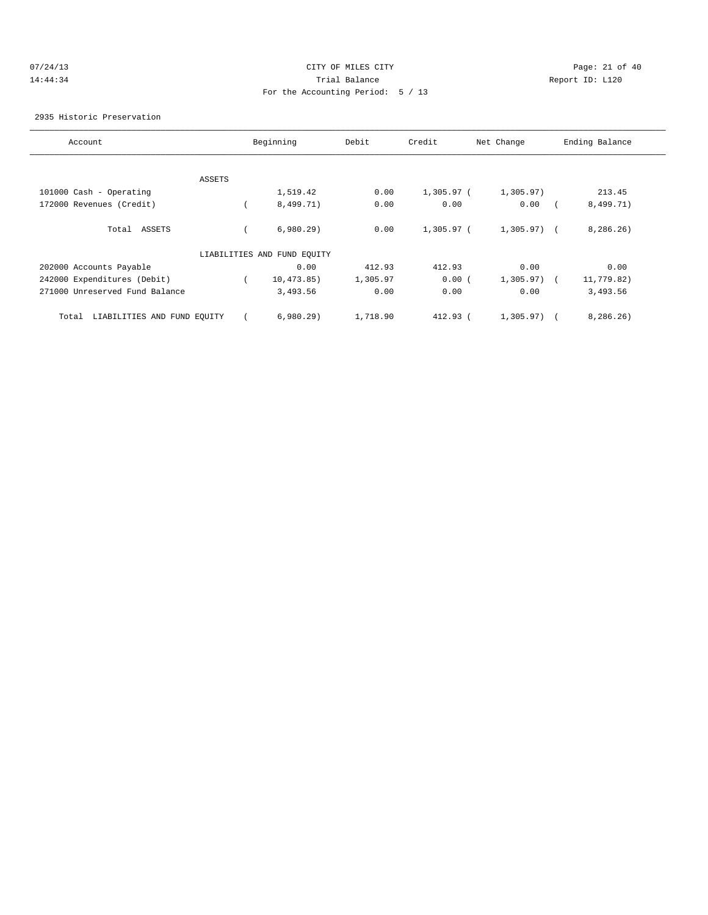# 07/24/13 Page: 21 of 40 14:44:34 Trial Balance Report ID: L120 For the Accounting Period: 5 / 13

2935 Historic Preservation

| Account                              |               | Beginning                   | Debit    | Credit       | Net Change   | Ending Balance |
|--------------------------------------|---------------|-----------------------------|----------|--------------|--------------|----------------|
|                                      |               |                             |          |              |              |                |
|                                      | <b>ASSETS</b> |                             |          |              |              |                |
| 101000 Cash - Operating              |               | 1,519.42                    | 0.00     | $1,305.97$ ( | 1,305.97)    | 213.45         |
| 172000 Revenues (Credit)             |               | 8,499.71)                   | 0.00     | 0.00         | 0.00         | 8,499.71)      |
| Total ASSETS                         |               | 6,980.29                    | 0.00     | 1,305.97 (   | $1,305.97$ ( | 8, 286.26)     |
|                                      |               | LIABILITIES AND FUND EQUITY |          |              |              |                |
| 202000 Accounts Payable              |               | 0.00                        | 412.93   | 412.93       | 0.00         | 0.00           |
| 242000 Expenditures (Debit)          |               | 10, 473.85)                 | 1,305.97 | 0.00(        | $1,305.97$ ( | 11,779.82)     |
| 271000 Unreserved Fund Balance       |               | 3,493.56                    | 0.00     | 0.00         | 0.00         | 3,493.56       |
| LIABILITIES AND FUND EQUITY<br>Total |               | 6,980.29                    | 1,718.90 | $412.93$ (   | 1,305.97)    | 8,286.26)      |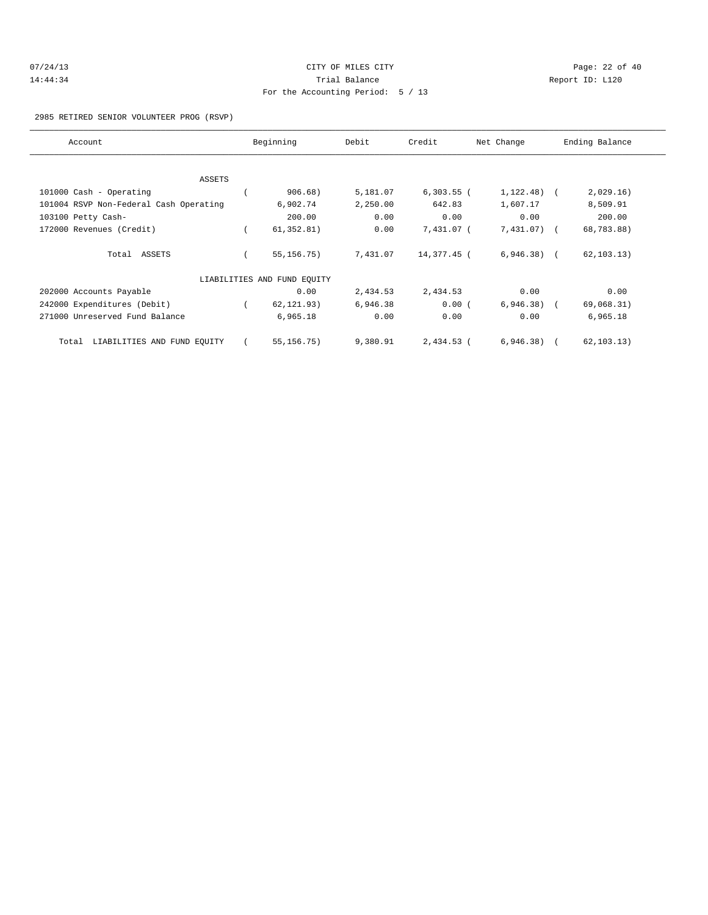| 07/24/13 | CITY OF MILES CITY                | Page: $22$ of $40$ |
|----------|-----------------------------------|--------------------|
| 14:44:34 | Trial Balance                     | Report ID: L120    |
|          | For the Accounting Period: 5 / 13 |                    |

### 2985 RETIRED SENIOR VOLUNTEER PROG (RSVP)

| Account                                | Beginning                   | Debit    | Credit       | Net Change   | Ending Balance |  |
|----------------------------------------|-----------------------------|----------|--------------|--------------|----------------|--|
|                                        |                             |          |              |              |                |  |
| ASSETS                                 |                             |          |              |              |                |  |
| 101000 Cash - Operating                | 906.68)                     | 5,181.07 | $6,303.55$ ( | $1,122.48$ ( | 2,029.16)      |  |
| 101004 RSVP Non-Federal Cash Operating | 6,902.74                    | 2,250.00 | 642.83       | 1,607.17     | 8,509.91       |  |
| 103100 Petty Cash-                     | 200.00                      | 0.00     | 0.00         | 0.00         | 200.00         |  |
| 172000 Revenues (Credit)               | 61, 352.81)                 | 0.00     | 7,431.07 (   | 7,431.07) (  | 68,783.88)     |  |
| Total ASSETS                           | 55, 156. 75)                | 7,431.07 | 14,377.45 (  | $6,946.38$ ( | 62, 103.13)    |  |
|                                        | LIABILITIES AND FUND EQUITY |          |              |              |                |  |
| 202000 Accounts Payable                | 0.00                        | 2,434.53 | 2,434.53     | 0.00         | 0.00           |  |
| 242000 Expenditures (Debit)            | 62, 121.93)                 | 6,946.38 | 0.00(        | $6,946.38$ ( | 69,068.31)     |  |
| 271000 Unreserved Fund Balance         | 6,965.18                    | 0.00     | 0.00         | 0.00         | 6,965.18       |  |
| LIABILITIES AND FUND EQUITY<br>Total   | 55, 156.75)                 | 9,380.91 | $2,434.53$ ( | $6,946.38$ ( | 62, 103.13)    |  |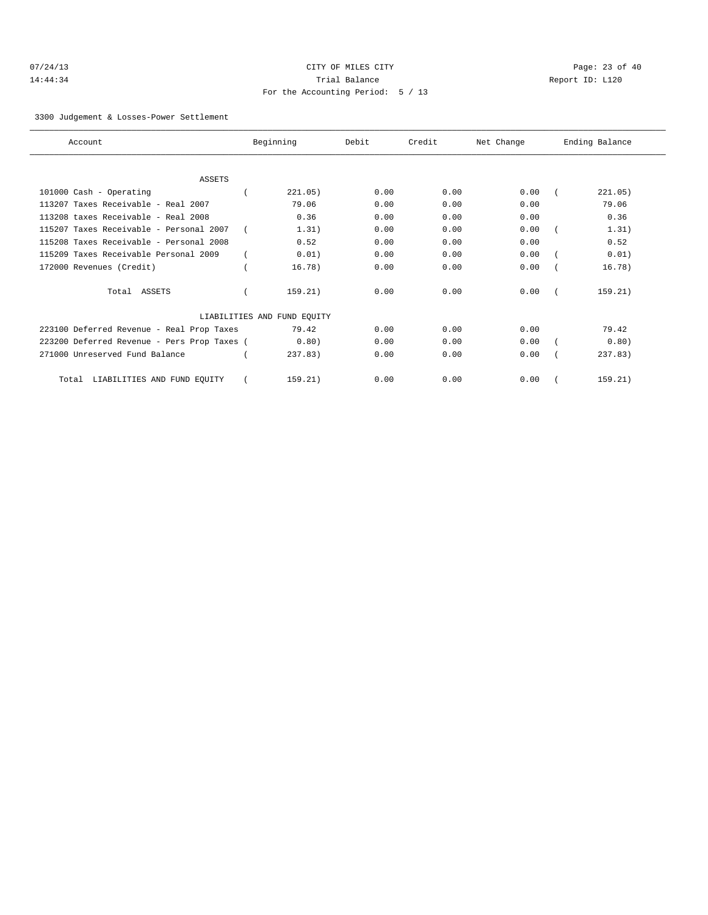| 07/24/13 |  |
|----------|--|
| 14:44:34 |  |

# CITY OF MILES CITY CONTROL CONTROL CONTROL CONTROL CONTROL PAGE: 23 of 40 14:44 Trial Balance and Separation Report ID: L120 For the Accounting Period: 5 / 13

3300 Judgement & Losses-Power Settlement

| Account                                     | Beginning                   | Debit | Credit | Net Change | Ending Balance |
|---------------------------------------------|-----------------------------|-------|--------|------------|----------------|
|                                             |                             |       |        |            |                |
| <b>ASSETS</b>                               |                             |       |        |            |                |
| 101000 Cash - Operating                     | 221.05)                     | 0.00  | 0.00   | 0.00       | 221.05)        |
| 113207 Taxes Receivable - Real 2007         | 79.06                       | 0.00  | 0.00   | 0.00       | 79.06          |
| 113208 taxes Receivable - Real 2008         | 0.36                        | 0.00  | 0.00   | 0.00       | 0.36           |
| 115207 Taxes Receivable - Personal 2007     | 1.31)                       | 0.00  | 0.00   | 0.00       | 1.31)          |
| 115208 Taxes Receivable - Personal 2008     | 0.52                        | 0.00  | 0.00   | 0.00       | 0.52           |
| 115209 Taxes Receivable Personal 2009       | 0.01)                       | 0.00  | 0.00   | 0.00       | 0.01)          |
| 172000 Revenues (Credit)                    | 16.78)                      | 0.00  | 0.00   | 0.00       | 16.78)         |
| Total ASSETS                                | 159.21)                     | 0.00  | 0.00   | 0.00       | 159.21)        |
|                                             | LIABILITIES AND FUND EQUITY |       |        |            |                |
| 223100 Deferred Revenue - Real Prop Taxes   | 79.42                       | 0.00  | 0.00   | 0.00       | 79.42          |
| 223200 Deferred Revenue - Pers Prop Taxes ( | 0.80)                       | 0.00  | 0.00   | 0.00       | 0.80)          |
| 271000 Unreserved Fund Balance              | 237.83                      | 0.00  | 0.00   | 0.00       | 237.83         |
| LIABILITIES AND FUND EQUITY<br>Total        | 159.21)                     | 0.00  | 0.00   | 0.00       | 159.21)        |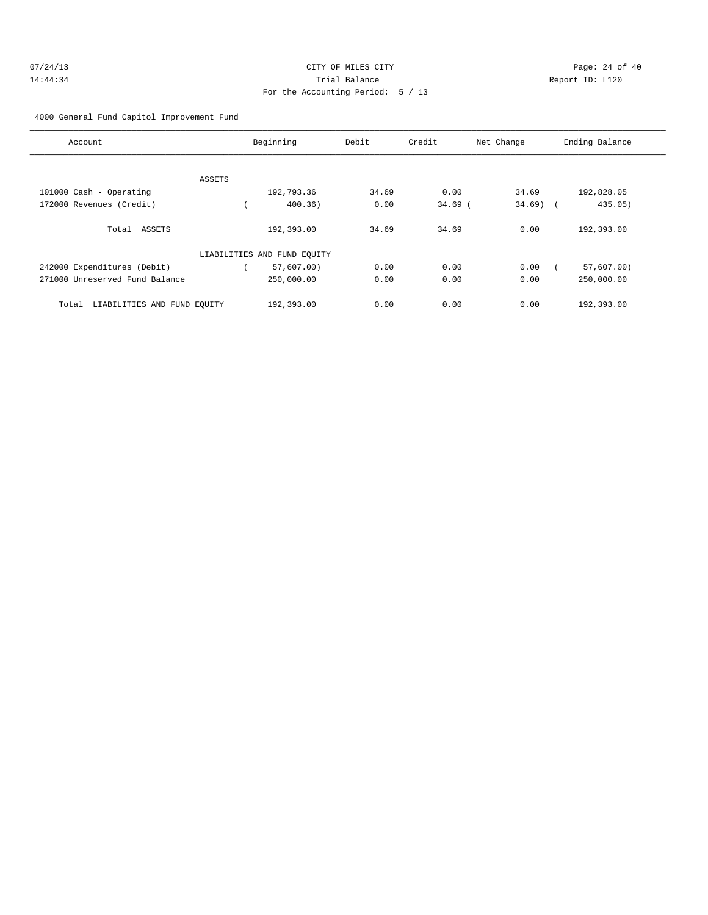| 07/24/13 | CITY OF MILES CITY                | Page: 24 of 40  |
|----------|-----------------------------------|-----------------|
| 14:44:34 | Trial Balance                     | Report ID: L120 |
|          | For the Accounting Period: 5 / 13 |                 |

4000 General Fund Capitol Improvement Fund

| Account                              | Beginning                   | Debit | Credit    | Net Change | Ending Balance |
|--------------------------------------|-----------------------------|-------|-----------|------------|----------------|
|                                      |                             |       |           |            |                |
| ASSETS                               |                             |       |           |            |                |
| 101000 Cash - Operating              | 192,793.36                  | 34.69 | 0.00      | 34.69      | 192,828.05     |
| 172000 Revenues (Credit)             | 400.36)                     | 0.00  | $34.69$ ( | $34.69$ (  | 435.05)        |
| Total ASSETS                         | 192,393.00                  | 34.69 | 34.69     | 0.00       | 192,393.00     |
|                                      | LIABILITIES AND FUND EQUITY |       |           |            |                |
| 242000 Expenditures (Debit)          | $57,607.00$ )               | 0.00  | 0.00      | 0.00       | 57,607.00)     |
| 271000 Unreserved Fund Balance       | 250,000.00                  | 0.00  | 0.00      | 0.00       | 250,000.00     |
| LIABILITIES AND FUND EQUITY<br>Total | 192,393.00                  | 0.00  | 0.00      | 0.00       | 192,393.00     |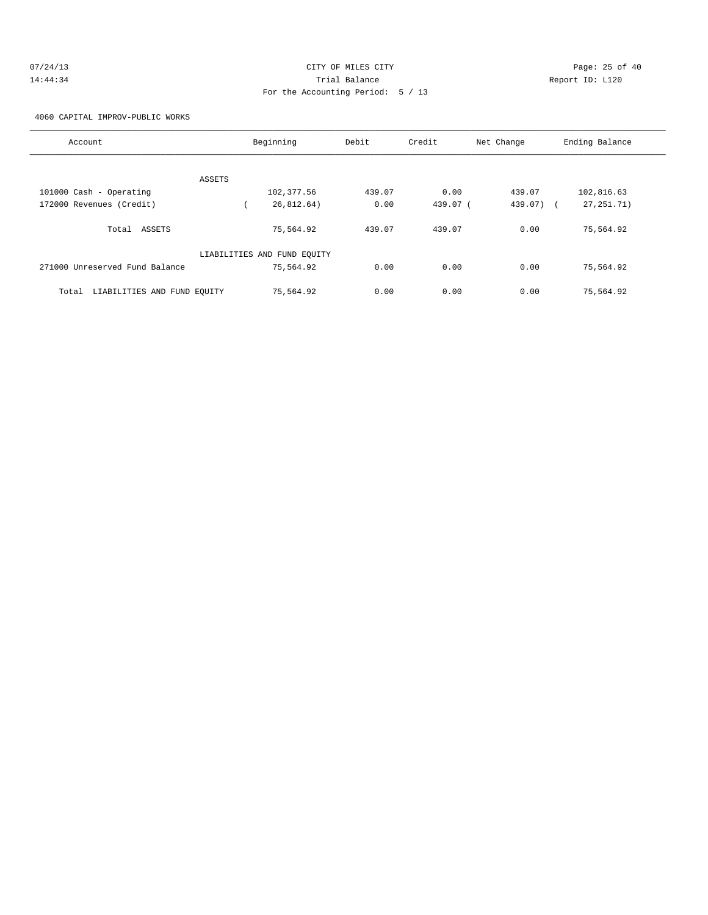| 07/24/13 | CITY OF MILES CITY                | Page: 25 of 40  |  |
|----------|-----------------------------------|-----------------|--|
| 14:44:34 | Trial Balance                     | Report ID: L120 |  |
|          | For the Accounting Period: 5 / 13 |                 |  |

4060 CAPITAL IMPROV-PUBLIC WORKS

| Account                              | Beginning                   | Debit  | Credit   | Net Change | Ending Balance |
|--------------------------------------|-----------------------------|--------|----------|------------|----------------|
|                                      |                             |        |          |            |                |
| ASSETS                               |                             |        |          |            |                |
| 101000 Cash - Operating              | 102,377.56                  | 439.07 | 0.00     | 439.07     | 102,816.63     |
| 172000 Revenues (Credit)             | 26,812.64)                  | 0.00   | 439.07 ( | 439.07) (  | 27, 251. 71)   |
| Total ASSETS                         | 75,564.92                   | 439.07 | 439.07   | 0.00       | 75,564.92      |
|                                      | LIABILITIES AND FUND EQUITY |        |          |            |                |
| 271000 Unreserved Fund Balance       | 75,564.92                   | 0.00   | 0.00     | 0.00       | 75,564.92      |
| LIABILITIES AND FUND EQUITY<br>Total | 75,564.92                   | 0.00   | 0.00     | 0.00       | 75,564.92      |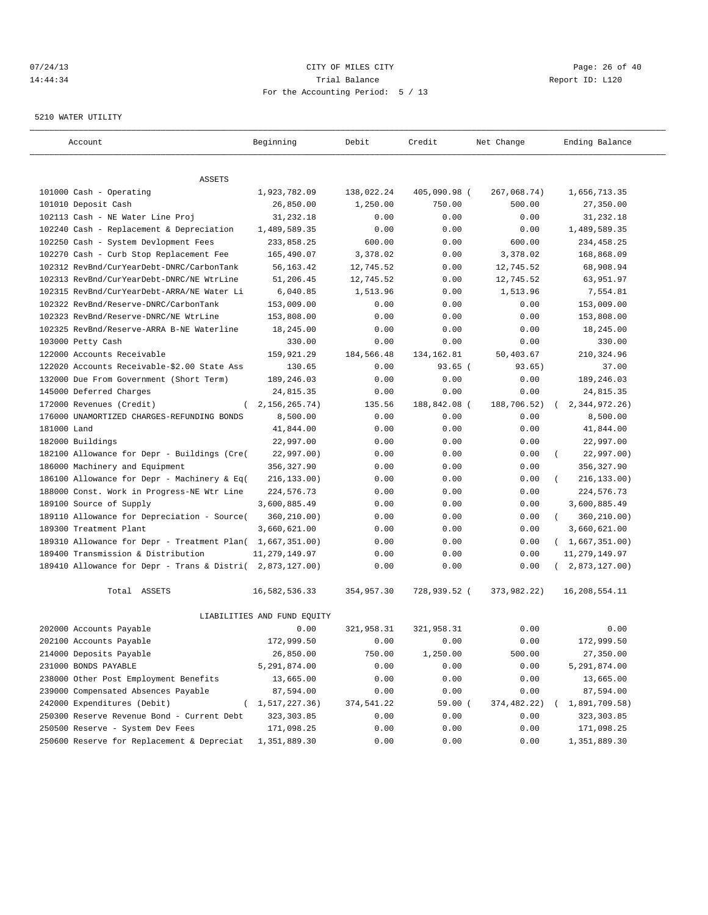# $07/24/13$  Page: 26 of 40 14:44:34 Trial Balance Report ID: L120 For the Accounting Period: 5 / 13

#### 5210 WATER UTILITY

| Account                                                   | Beginning                   | Debit                  | Credit                 | Net Change            | Ending Balance            |
|-----------------------------------------------------------|-----------------------------|------------------------|------------------------|-----------------------|---------------------------|
|                                                           |                             |                        |                        |                       |                           |
| ASSETS                                                    |                             |                        |                        |                       |                           |
| 101000 Cash - Operating<br>101010 Deposit Cash            | 1,923,782.09<br>26,850.00   | 138,022.24<br>1,250.00 | 405,090.98 (<br>750.00 | 267,068.74)<br>500.00 | 1,656,713.35<br>27,350.00 |
| 102113 Cash - NE Water Line Proj                          | 31,232.18                   | 0.00                   | 0.00                   | 0.00                  | 31,232.18                 |
| 102240 Cash - Replacement & Depreciation                  | 1,489,589.35                | 0.00                   | 0.00                   | 0.00                  | 1,489,589.35              |
| 102250 Cash - System Devlopment Fees                      | 233,858.25                  | 600.00                 | 0.00                   | 600.00                | 234, 458.25               |
| 102270 Cash - Curb Stop Replacement Fee                   | 165,490.07                  | 3,378.02               | 0.00                   | 3,378.02              | 168,868.09                |
| 102312 RevBnd/CurYearDebt-DNRC/CarbonTank                 | 56,163.42                   | 12,745.52              | 0.00                   | 12,745.52             | 68,908.94                 |
| 102313 RevBnd/CurYearDebt-DNRC/NE WtrLine                 | 51,206.45                   | 12,745.52              | 0.00                   | 12,745.52             | 63,951.97                 |
| 102315 RevBnd/CurYearDebt-ARRA/NE Water Li                | 6,040.85                    | 1,513.96               | 0.00                   | 1,513.96              | 7,554.81                  |
| 102322 RevBnd/Reserve-DNRC/CarbonTank                     | 153,009.00                  | 0.00                   | 0.00                   | 0.00                  | 153,009.00                |
| 102323 RevBnd/Reserve-DNRC/NE WtrLine                     | 153,808.00                  | 0.00                   | 0.00                   | 0.00                  | 153,808.00                |
| 102325 RevBnd/Reserve-ARRA B-NE Waterline                 | 18,245.00                   | 0.00                   | 0.00                   | 0.00                  | 18,245.00                 |
| 103000 Petty Cash                                         | 330.00                      | 0.00                   | 0.00                   | 0.00                  | 330.00                    |
| 122000 Accounts Receivable                                | 159,921.29                  | 184,566.48             | 134, 162.81            | 50,403.67             | 210,324.96                |
| 122020 Accounts Receivable-\$2.00 State Ass               | 130.65                      | 0.00                   | $93.65$ (              | 93.65)                | 37.00                     |
| 132000 Due From Government (Short Term)                   | 189,246.03                  | 0.00                   | 0.00                   | 0.00                  | 189,246.03                |
| 145000 Deferred Charges                                   | 24,815.35                   | 0.00                   | 0.00                   | 0.00                  | 24,815.35                 |
| 172000 Revenues (Credit)                                  | 2, 156, 265. 74)            | 135.56                 | 188,842.08 (           | 188,706.52)           | 2, 344, 972. 26)          |
| 176000 UNAMORTIZED CHARGES-REFUNDING BONDS                | 8,500.00                    | 0.00                   | 0.00                   | 0.00                  | 8,500.00                  |
| 181000 Land                                               | 41,844.00                   | 0.00                   | 0.00                   | 0.00                  | 41,844.00                 |
| 182000 Buildings                                          | 22,997.00                   | 0.00                   | 0.00                   | 0.00                  | 22,997.00                 |
| 182100 Allowance for Depr - Buildings (Cre(               | 22,997.00)                  | 0.00                   | 0.00                   | 0.00                  | 22,997.00)<br>$\left($    |
| 186000 Machinery and Equipment                            | 356,327.90                  | 0.00                   | 0.00                   | 0.00                  | 356, 327.90               |
| 186100 Allowance for Depr - Machinery & Eq(               | 216, 133.00)                | 0.00                   | 0.00                   | 0.00                  | 216,133.00)               |
| 188000 Const. Work in Progress-NE Wtr Line                | 224,576.73                  | 0.00                   | 0.00                   | 0.00                  | 224,576.73                |
| 189100 Source of Supply                                   | 3,600,885.49                | 0.00                   | 0.00                   | 0.00                  | 3,600,885.49              |
| 189110 Allowance for Depreciation - Source(               | 360,210.00)                 | 0.00                   | 0.00                   | 0.00                  | 360,210.00)<br>$\left($   |
| 189300 Treatment Plant                                    | 3,660,621.00                | 0.00                   | 0.00                   | 0.00                  | 3,660,621.00              |
| 189310 Allowance for Depr - Treatment Plan( 1,667,351.00) |                             | 0.00                   | 0.00                   | 0.00                  | (1,667,351.00)            |
| 189400 Transmission & Distribution                        | 11, 279, 149.97             | 0.00                   | 0.00                   | 0.00                  | 11, 279, 149.97           |
| 189410 Allowance for Depr - Trans & Distri(               | 2,873,127.00)               | 0.00                   | 0.00                   | 0.00                  | 2,873,127.00)             |
| Total ASSETS                                              | 16,582,536.33               | 354,957.30             | 728,939.52 (           | 373,982.22)           | 16,208,554.11             |
|                                                           | LIABILITIES AND FUND EQUITY |                        |                        |                       |                           |
| 202000 Accounts Payable                                   | 0.00                        | 321,958.31             | 321,958.31             | 0.00                  | 0.00                      |
| 202100 Accounts Payable                                   | 172,999.50                  | 0.00                   | 0.00                   | 0.00                  | 172,999.50                |
| 214000 Deposits Payable                                   | 26,850.00                   | 750.00                 | 1,250.00               | 500.00                | 27,350.00                 |
| 231000 BONDS PAYABLE                                      | 5,291,874.00                | 0.00                   | 0.00                   | 0.00                  | 5,291,874.00              |
| 238000 Other Post Employment Benefits                     | 13,665.00                   | 0.00                   | 0.00                   | 0.00                  | 13,665.00                 |
| 239000 Compensated Absences Payable                       | 87,594.00                   | 0.00                   | 0.00                   | 0.00                  | 87,594.00                 |
| 242000 Expenditures (Debit)                               | (1, 517, 227.36)            | 374,541.22             | 59.00 (                | 374,482.22)           | 1,891,709.58)             |
| 250300 Reserve Revenue Bond - Current Debt                | 323, 303.85                 | 0.00                   | 0.00                   | 0.00                  | 323,303.85                |
| 250500 Reserve - System Dev Fees                          | 171,098.25                  | 0.00                   | 0.00                   | 0.00                  | 171,098.25                |
| 250600 Reserve for Replacement & Depreciat                | 1,351,889.30                | 0.00                   | 0.00                   | 0.00                  | 1,351,889.30              |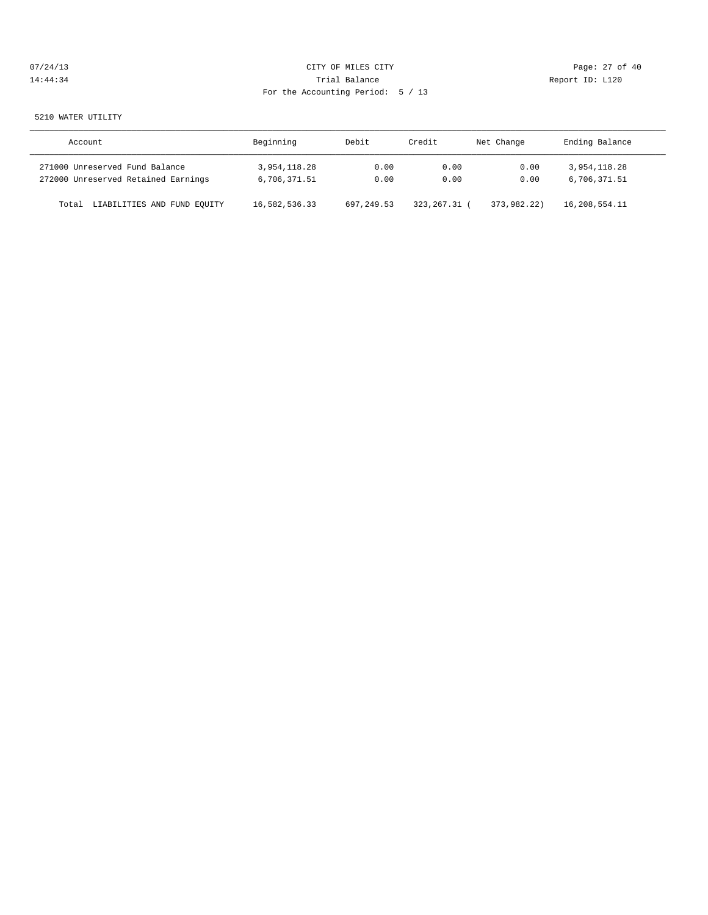| 07/24/13 | CITY OF MILES CITY                | Page: 27 of 40  |
|----------|-----------------------------------|-----------------|
| 14:44:34 | Trial Balance                     | Report ID: L120 |
|          | For the Accounting Period: 5 / 13 |                 |
|          |                                   |                 |

### 5210 WATER UTILITY

| Account                              | Beginning     | Debit      | Credit         | Net Change  | Ending Balance |
|--------------------------------------|---------------|------------|----------------|-------------|----------------|
| 271000 Unreserved Fund Balance       | 3,954,118.28  | 0.00       | 0.00           | 0.00        | 3,954,118.28   |
| 272000 Unreserved Retained Earnings  | 6,706,371.51  | 0.00       | 0.00           | 0.00        | 6,706,371.51   |
| LIABILITIES AND FUND EQUITY<br>Total | 16,582,536.33 | 697,249.53 | 323, 267. 31 ( | 373,982,22) | 16,208,554.11  |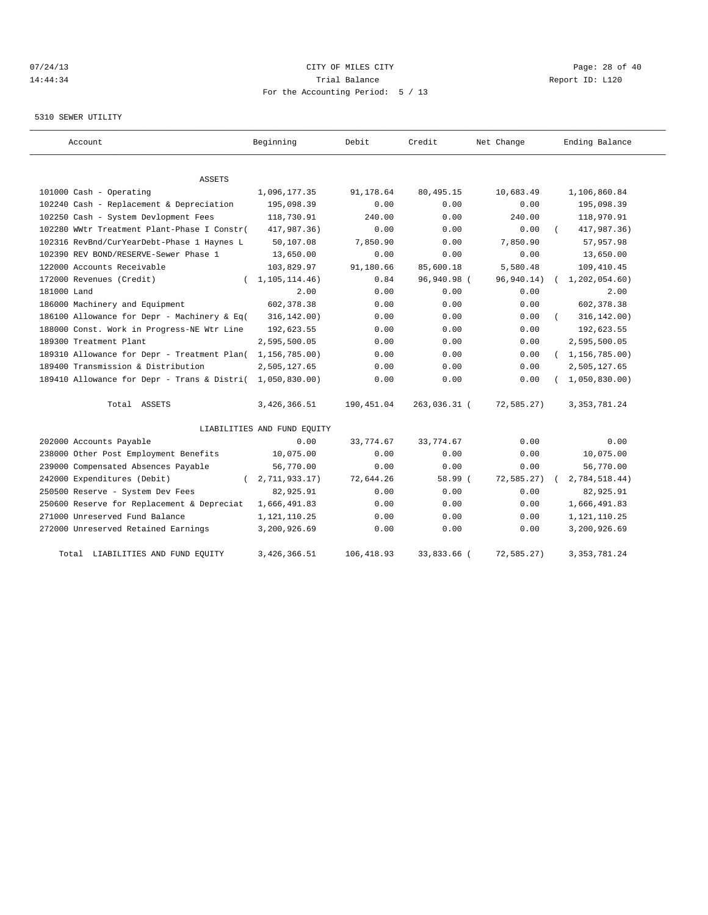# 07/24/13 Page: 28 of 40 14:44:34 Trial Balance Report ID: L120 For the Accounting Period: 5 / 13

# 5310 SEWER UTILITY

| Account                                                                          | Beginning                   | Debit             | Credit             | Net Change        | Ending Balance           |
|----------------------------------------------------------------------------------|-----------------------------|-------------------|--------------------|-------------------|--------------------------|
|                                                                                  |                             |                   |                    |                   |                          |
| ASSETS                                                                           |                             |                   |                    |                   |                          |
| 101000 Cash - Operating                                                          | 1,096,177.35                | 91,178.64<br>0.00 | 80, 495.15<br>0.00 | 10,683.49<br>0.00 | 1,106,860.84             |
| 102240 Cash - Replacement & Depreciation<br>102250 Cash - System Devlopment Fees | 195,098.39<br>118,730.91    | 240.00            | 0.00               | 240.00            | 195,098.39<br>118,970.91 |
| 102280 WWtr Treatment Plant-Phase I Constr(                                      | 417,987.36)                 | 0.00              | 0.00               | 0.00              | 417,987.36)              |
|                                                                                  |                             |                   |                    |                   |                          |
| 102316 RevBnd/CurYearDebt-Phase 1 Haynes L                                       | 50,107.08                   | 7,850.90          | 0.00               | 7,850.90          | 57,957.98                |
| 102390 REV BOND/RESERVE-Sewer Phase 1                                            | 13,650.00                   | 0.00              | 0.00               | 0.00              | 13,650.00                |
| 122000 Accounts Receivable                                                       | 103,829.97                  | 91,180.66         | 85,600.18          | 5,580.48          | 109,410.45               |
| 172000 Revenues (Credit)<br>$\left($                                             | 1,105,114.46)               | 0.84              | 96,940.98 (        | 96,940.14)        | 1, 202, 054.60           |
| 181000 Land                                                                      | 2.00                        | 0.00              | 0.00               | 0.00              | 2.00                     |
| 186000 Machinery and Equipment                                                   | 602, 378.38                 | 0.00              | 0.00               | 0.00              | 602,378.38               |
| 186100 Allowance for Depr - Machinery & Eq(                                      | 316, 142.00)                | 0.00              | 0.00               | 0.00              | 316, 142.00)             |
| 188000 Const. Work in Progress-NE Wtr Line                                       | 192,623.55                  | 0.00              | 0.00               | 0.00              | 192,623.55               |
| 189300 Treatment Plant                                                           | 2,595,500.05                | 0.00              | 0.00               | 0.00              | 2,595,500.05             |
| 189310 Allowance for Depr - Treatment Plan(                                      | 1,156,785.00)               | 0.00              | 0.00               | 0.00              | (1, 156, 785.00)         |
| 189400 Transmission & Distribution                                               | 2,505,127.65                | 0.00              | 0.00               | 0.00              | 2,505,127.65             |
| 189410 Allowance for Depr - Trans & Distri(                                      | 1,050,830.00)               | 0.00              | 0.00               | 0.00              | 1,050,830.00             |
| Total ASSETS                                                                     | 3, 426, 366.51              | 190,451.04        | 263,036.31 (       | 72,585.27)        | 3, 353, 781.24           |
|                                                                                  | LIABILITIES AND FUND EQUITY |                   |                    |                   |                          |
| 202000 Accounts Payable                                                          | 0.00                        | 33,774.67         | 33, 774.67         | 0.00              | 0.00                     |
| 238000 Other Post Employment Benefits                                            | 10,075.00                   | 0.00              | 0.00               | 0.00              | 10,075.00                |
| 239000 Compensated Absences Payable                                              | 56,770.00                   | 0.00              | 0.00               | 0.00              | 56,770.00                |
| 242000 Expenditures (Debit)                                                      | 2,711,933.17)               | 72,644.26         | 58.99 (            | 72,585.27)        | 2,784,518.44)            |
| 250500 Reserve - System Dev Fees                                                 | 82,925.91                   | 0.00              | 0.00               | 0.00              | 82,925.91                |
| 250600 Reserve for Replacement & Depreciat                                       | 1,666,491.83                | 0.00              | 0.00               | 0.00              | 1,666,491.83             |
| 271000 Unreserved Fund Balance                                                   | 1,121,110.25                | 0.00              | 0.00               | 0.00              | 1,121,110.25             |
| 272000 Unreserved Retained Earnings                                              | 3,200,926.69                | 0.00              | 0.00               | 0.00              | 3,200,926.69             |
| LIABILITIES AND FUND EQUITY<br>Total                                             | 3,426,366.51                | 106, 418.93       | 33,833.66 (        | 72,585.27)        | 3, 353, 781. 24          |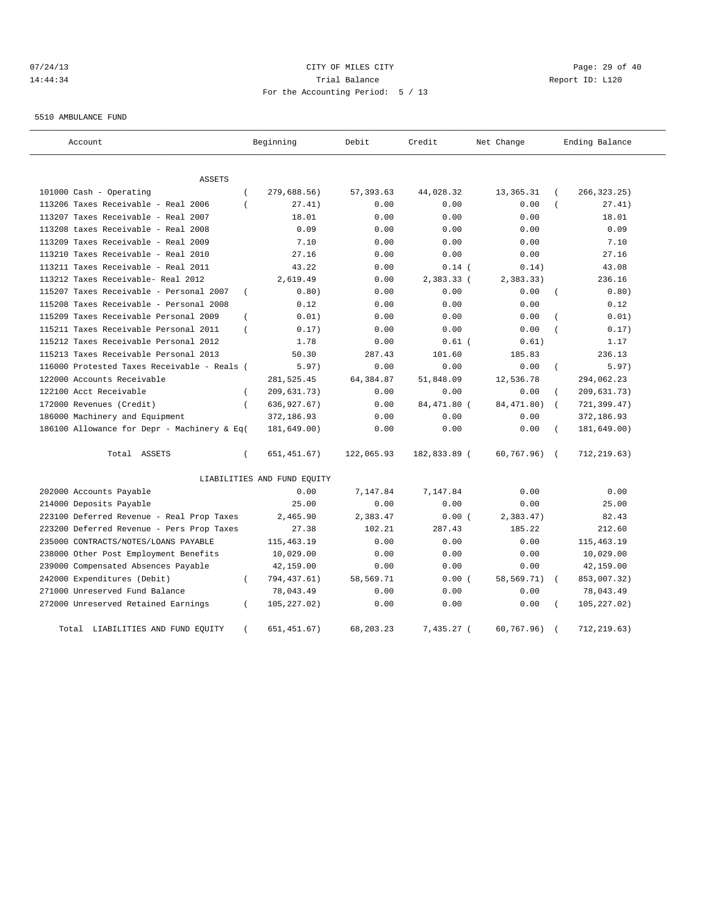# 07/24/13 Page: 29 of 40 14:44:34 Trial Balance Report ID: L120 For the Accounting Period: 5 / 13

5510 AMBULANCE FUND

| Account                                     |                | Beginning                   | Debit       | Credit       | Net Change  |                | Ending Balance |
|---------------------------------------------|----------------|-----------------------------|-------------|--------------|-------------|----------------|----------------|
| ASSETS                                      |                |                             |             |              |             |                |                |
| 101000 Cash - Operating                     | $\overline{ }$ | 279,688.56)                 | 57, 393.63  | 44,028.32    | 13,365.31   |                | 266, 323.25)   |
| 113206 Taxes Receivable - Real 2006         |                | 27.41)                      | 0.00        | 0.00         | 0.00        |                | 27.41)         |
| 113207 Taxes Receivable - Real 2007         |                | 18.01                       | 0.00        | 0.00         | 0.00        |                | 18.01          |
| 113208 taxes Receivable - Real 2008         |                | 0.09                        | 0.00        | 0.00         | 0.00        |                | 0.09           |
| 113209 Taxes Receivable - Real 2009         |                | 7.10                        | 0.00        | 0.00         | 0.00        |                | 7.10           |
| 113210 Taxes Receivable - Real 2010         |                | 27.16                       | 0.00        | 0.00         | 0.00        |                | 27.16          |
| 113211 Taxes Receivable - Real 2011         |                | 43.22                       | 0.00        | $0.14$ (     | 0.14)       |                | 43.08          |
| 113212 Taxes Receivable- Real 2012          |                | 2,619.49                    | 0.00        | 2,383.33 (   | 2, 383.33)  |                | 236.16         |
| 115207 Taxes Receivable - Personal 2007     | $\overline{ }$ | 0.80)                       | 0.00        | 0.00         | 0.00        |                | 0.80)          |
| 115208 Taxes Receivable - Personal 2008     |                | 0.12                        | 0.00        | 0.00         | 0.00        |                | 0.12           |
| 115209 Taxes Receivable Personal 2009       | $\overline{ }$ | 0.01)                       | 0.00        | 0.00         | 0.00        |                | 0.01)          |
| 115211 Taxes Receivable Personal 2011       | $\left($       | 0.17)                       | 0.00        | 0.00         | 0.00        | $\overline{ }$ | 0.17)          |
| 115212 Taxes Receivable Personal 2012       |                | 1.78                        | 0.00        | $0.61$ (     | 0.61)       |                | 1.17           |
| 115213 Taxes Receivable Personal 2013       |                | 50.30                       | 287.43      | 101.60       | 185.83      |                | 236.13         |
| 116000 Protested Taxes Receivable - Reals ( |                | 5.97)                       | 0.00        | 0.00         | 0.00        | $\overline{ }$ | 5.97)          |
| 122000 Accounts Receivable                  |                | 281,525.45                  | 64, 384.87  | 51,848.09    | 12,536.78   |                | 294,062.23     |
| 122100 Acct Receivable                      | $\left($       | 209,631.73)                 | 0.00        | 0.00         | 0.00        |                | 209,631.73)    |
| 172000 Revenues (Credit)                    | $\left($       | 636, 927.67)                | 0.00        | 84,471.80 (  | 84, 471.80) |                | 721,399.47)    |
| 186000 Machinery and Equipment              |                | 372,186.93                  | 0.00        | 0.00         | 0.00        |                | 372,186.93     |
| 186100 Allowance for Depr - Machinery & Eq( |                | 181,649.00)                 | 0.00        | 0.00         | 0.00        | $\left($       | 181,649.00)    |
| Total ASSETS                                | $\left($       | 651, 451.67)                | 122,065.93  | 182,833.89 ( | 60,767.96)  | $\sqrt{ }$     | 712,219.63)    |
|                                             |                | LIABILITIES AND FUND EQUITY |             |              |             |                |                |
| 202000 Accounts Payable                     |                | 0.00                        | 7,147.84    | 7,147.84     | 0.00        |                | 0.00           |
| 214000 Deposits Payable                     |                | 25.00                       | 0.00        | 0.00         | 0.00        |                | 25.00          |
| 223100 Deferred Revenue - Real Prop Taxes   |                | 2,465.90                    | 2,383.47    | 0.00(        | 2,383.47)   |                | 82.43          |
| 223200 Deferred Revenue - Pers Prop Taxes   |                | 27.38                       | 102.21      | 287.43       | 185.22      |                | 212.60         |
| 235000 CONTRACTS/NOTES/LOANS PAYABLE        |                | 115,463.19                  | 0.00        | 0.00         | 0.00        |                | 115, 463. 19   |
| 238000 Other Post Employment Benefits       |                | 10,029.00                   | 0.00        | 0.00         | 0.00        |                | 10,029.00      |
| 239000 Compensated Absences Payable         |                | 42,159.00                   | 0.00        | 0.00         | 0.00        |                | 42,159.00      |
| 242000 Expenditures (Debit)                 |                | 794,437.61)                 | 58,569.71   | 0.00(        | 58,569.71)  |                | 853,007.32)    |
| 271000 Unreserved Fund Balance              |                | 78,043.49                   | 0.00        | 0.00         | 0.00        |                | 78,043.49      |
| 272000 Unreserved Retained Earnings         | $\left($       | 105, 227.02)                | 0.00        | 0.00         | 0.00        |                | 105, 227.02)   |
| LIABILITIES AND FUND EQUITY<br>Total        |                | 651, 451.67)                | 68, 203. 23 | 7,435.27 (   | 60,767.96)  |                | 712,219.63)    |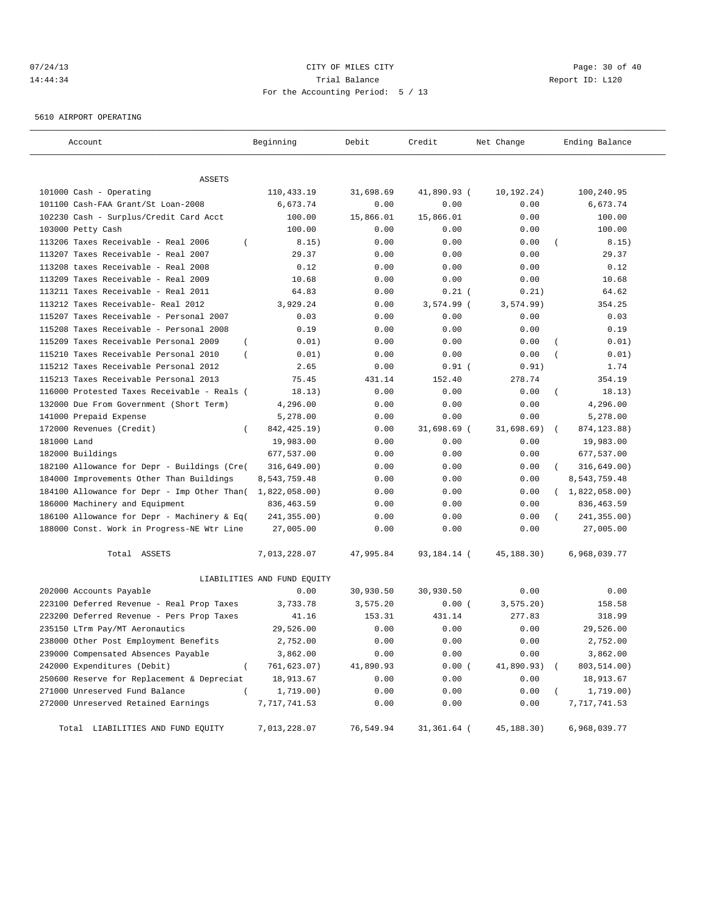# 07/24/13 Page: 30 of 40 14:44:34 Trial Balance Report ID: L120 For the Accounting Period: 5 / 13

5610 AIRPORT OPERATING

| Account                                                 | Beginning                   | Debit     | Credit       | Net Change | Ending Balance     |
|---------------------------------------------------------|-----------------------------|-----------|--------------|------------|--------------------|
|                                                         |                             |           |              |            |                    |
| ASSETS                                                  |                             |           |              |            |                    |
| 101000 Cash - Operating                                 | 110,433.19                  | 31,698.69 | 41,890.93 (  | 10,192.24) | 100,240.95         |
| 101100 Cash-FAA Grant/St Loan-2008                      | 6,673.74                    | 0.00      | 0.00         | 0.00       | 6,673.74           |
| 102230 Cash - Surplus/Credit Card Acct                  | 100.00                      | 15,866.01 | 15,866.01    | 0.00       | 100.00             |
| 103000 Petty Cash                                       | 100.00                      | 0.00      | 0.00         | 0.00       | 100.00             |
| 113206 Taxes Receivable - Real 2006<br>$\left($         | 8.15)                       | 0.00      | 0.00         | 0.00       | 8.15)              |
| 113207 Taxes Receivable - Real 2007                     | 29.37                       | 0.00      | 0.00         | 0.00       | 29.37              |
| 113208 taxes Receivable - Real 2008                     | 0.12                        | 0.00      | 0.00         | 0.00       | 0.12               |
| 113209 Taxes Receivable - Real 2009                     | 10.68                       | 0.00      | 0.00         | 0.00       | 10.68              |
| 113211 Taxes Receivable - Real 2011                     | 64.83                       | 0.00      | $0.21$ (     | 0.21)      | 64.62              |
| 113212 Taxes Receivable- Real 2012                      | 3,929.24                    | 0.00      | $3,574.99$ ( | 3, 574.99) | 354.25             |
| 115207 Taxes Receivable - Personal 2007                 | 0.03                        | 0.00      | 0.00         | 0.00       | 0.03               |
| 115208 Taxes Receivable - Personal 2008                 | 0.19                        | 0.00      | 0.00         | 0.00       | 0.19               |
| 115209 Taxes Receivable Personal 2009<br>$\left($       | 0.01)                       | 0.00      | 0.00         | 0.00       | 0.01)              |
| 115210 Taxes Receivable Personal 2010<br>$\overline{ }$ | 0.01)                       | 0.00      | 0.00         | 0.00       | 0.01)              |
| 115212 Taxes Receivable Personal 2012                   | 2.65                        | 0.00      | $0.91$ (     | 0.91)      | 1.74               |
| 115213 Taxes Receivable Personal 2013                   | 75.45                       | 431.14    | 152.40       | 278.74     | 354.19             |
| 116000 Protested Taxes Receivable - Reals (             | 18.13)                      | 0.00      | 0.00         | 0.00       | 18.13)<br>$\left($ |
| 132000 Due From Government (Short Term)                 | 4,296.00                    | 0.00      | 0.00         | 0.00       | 4,296.00           |
| 141000 Prepaid Expense                                  | 5,278.00                    | 0.00      | 0.00         | 0.00       | 5,278.00           |
| 172000 Revenues (Credit)<br>$\left($                    | 842, 425. 19)               | 0.00      | 31,698.69 (  | 31,698.69) | 874, 123.88)       |
| 181000 Land                                             | 19,983.00                   | 0.00      | 0.00         | 0.00       | 19,983.00          |
| 182000 Buildings                                        | 677,537.00                  | 0.00      | 0.00         | 0.00       | 677,537.00         |
| 182100 Allowance for Depr - Buildings (Cre(             | 316,649.00)                 | 0.00      | 0.00         | 0.00       | 316,649.00)        |
| 184000 Improvements Other Than Buildings                | 8,543,759.48                | 0.00      | 0.00         | 0.00       | 8,543,759.48       |
| 184100 Allowance for Depr - Imp Other Than(             | 1,822,058.00)               | 0.00      | 0.00         | 0.00       | (1,822,058.00)     |
| 186000 Machinery and Equipment                          | 836, 463.59                 | 0.00      | 0.00         | 0.00       | 836, 463.59        |
| 186100 Allowance for Depr - Machinery & Eq(             | 241,355.00)                 | 0.00      | 0.00         | 0.00       | 241,355.00)        |
| 188000 Const. Work in Progress-NE Wtr Line              | 27,005.00                   | 0.00      | 0.00         | 0.00       | 27,005.00          |
| Total ASSETS                                            | 7,013,228.07                | 47,995.84 | 93,184.14 (  | 45,188.30) | 6,968,039.77       |
|                                                         | LIABILITIES AND FUND EQUITY |           |              |            |                    |
| 202000 Accounts Payable                                 | 0.00                        | 30,930.50 | 30,930.50    | 0.00       | 0.00               |
| 223100 Deferred Revenue - Real Prop Taxes               | 3,733.78                    | 3,575.20  | 0.00(        | 3, 575.20) | 158.58             |
| 223200 Deferred Revenue - Pers Prop Taxes               | 41.16                       | 153.31    | 431.14       | 277.83     | 318.99             |
| 235150 LTrm Pay/MT Aeronautics                          | 29,526.00                   | 0.00      | 0.00         | 0.00       | 29,526.00          |
| 238000 Other Post Employment Benefits                   | 2,752.00                    | 0.00      | 0.00         | 0.00       | 2,752.00           |
| 239000 Compensated Absences Payable                     | 3,862.00                    | 0.00      | 0.00         | 0.00       | 3,862.00           |
| 242000 Expenditures (Debit)<br>$\overline{(}$           | 761,623.07)                 | 41,890.93 | 0.00(        | 41,890.93) | 803,514.00)        |
| 250600 Reserve for Replacement & Depreciat              | 18,913.67                   | 0.00      | 0.00         | 0.00       | 18,913.67          |
| 271000 Unreserved Fund Balance<br>$\left($              | 1,719.00)                   | 0.00      | 0.00         | 0.00       | 1,719.00)          |
| 272000 Unreserved Retained Earnings                     | 7,717,741.53                | 0.00      | 0.00         | 0.00       | 7,717,741.53       |
| Total LIABILITIES AND FUND EQUITY                       | 7,013,228.07                | 76,549.94 | 31,361.64 (  | 45,188.30) | 6,968,039.77       |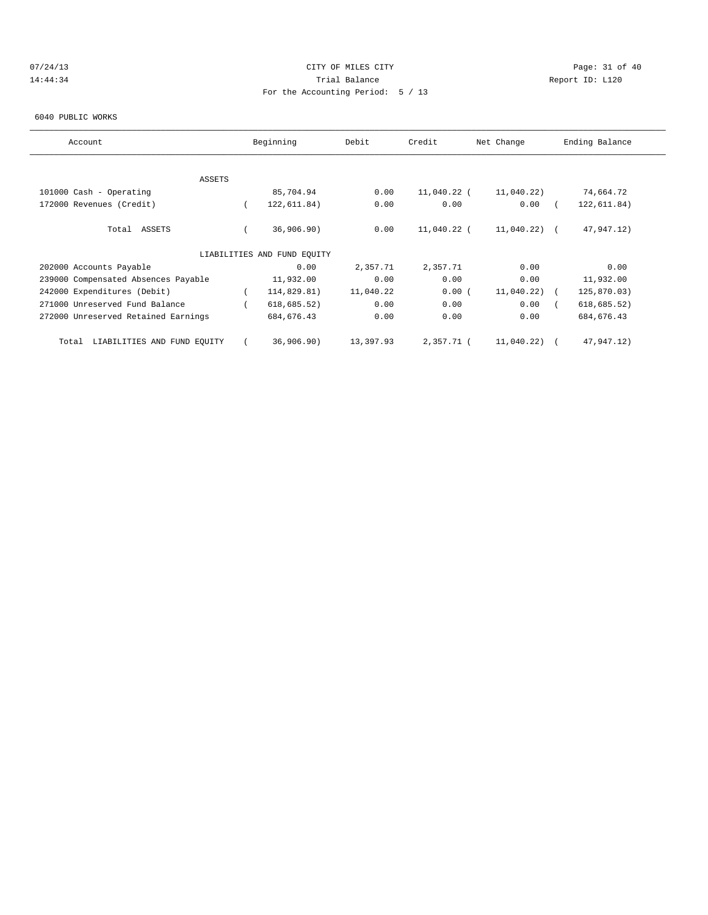# 07/24/13 Page: 31 of 40 14:44:34 Trial Balance Report ID: L120 For the Accounting Period: 5 / 13

#### 6040 PUBLIC WORKS

| Account                              | Beginning                   | Debit     | Credit      | Net Change     | Ending Balance |
|--------------------------------------|-----------------------------|-----------|-------------|----------------|----------------|
|                                      |                             |           |             |                |                |
| <b>ASSETS</b>                        |                             |           |             |                |                |
| 101000 Cash - Operating              | 85,704.94                   | 0.00      | 11,040.22 ( | 11,040.22)     | 74,664.72      |
| 172000 Revenues (Credit)             | 122,611.84)                 | 0.00      | 0.00        | 0.00           | 122,611.84)    |
| Total ASSETS                         | 36,906.90)                  | 0.00      | 11,040.22 ( | $11,040.22)$ ( | 47,947.12)     |
|                                      | LIABILITIES AND FUND EOUITY |           |             |                |                |
| 202000 Accounts Payable              | 0.00                        | 2,357.71  | 2,357.71    | 0.00           | 0.00           |
| 239000 Compensated Absences Payable  | 11,932.00                   | 0.00      | 0.00        | 0.00           | 11,932.00      |
| 242000 Expenditures (Debit)          | 114,829.81)                 | 11,040.22 | 0.00(       | 11,040.22)     | 125,870.03)    |
| 271000 Unreserved Fund Balance       | 618, 685.52)                | 0.00      | 0.00        | 0.00           | 618, 685.52)   |
| 272000 Unreserved Retained Earnings  | 684, 676.43                 | 0.00      | 0.00        | 0.00           | 684, 676.43    |
| LIABILITIES AND FUND EQUITY<br>Total | 36,906.90)                  | 13,397.93 | 2,357.71 (  | 11,040.22)     | 47,947.12)     |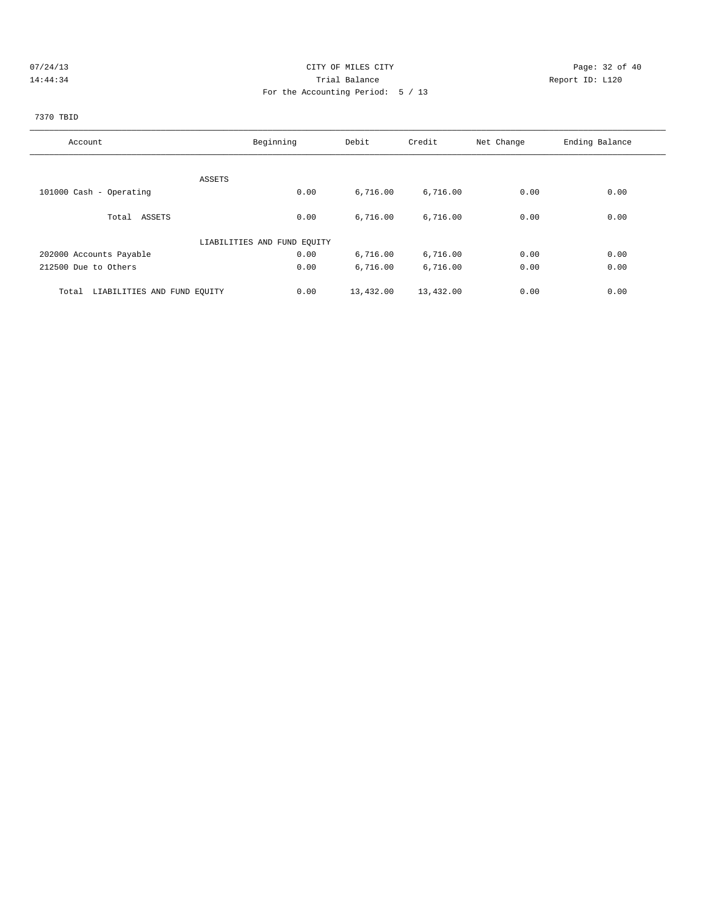# 07/24/13 Page: 32 of 40 14:44:34 Trial Balance Report ID: L120 For the Accounting Period: 5 / 13

# 7370 TBID

| Account                              | Beginning                   | Debit     | Credit    | Net Change | Ending Balance |
|--------------------------------------|-----------------------------|-----------|-----------|------------|----------------|
|                                      |                             |           |           |            |                |
| ASSETS                               |                             |           |           |            |                |
| 101000 Cash - Operating              | 0.00                        | 6,716.00  | 6,716.00  | 0.00       | 0.00           |
|                                      |                             |           |           |            |                |
| Total ASSETS                         | 0.00                        | 6,716.00  | 6,716.00  | 0.00       | 0.00           |
|                                      | LIABILITIES AND FUND EQUITY |           |           |            |                |
| 202000 Accounts Payable              | 0.00                        | 6,716.00  | 6,716.00  | 0.00       | 0.00           |
| 212500 Due to Others                 | 0.00                        | 6,716.00  | 6,716.00  | 0.00       | 0.00           |
| LIABILITIES AND FUND EQUITY<br>Total | 0.00                        | 13,432.00 | 13,432.00 | 0.00       | 0.00           |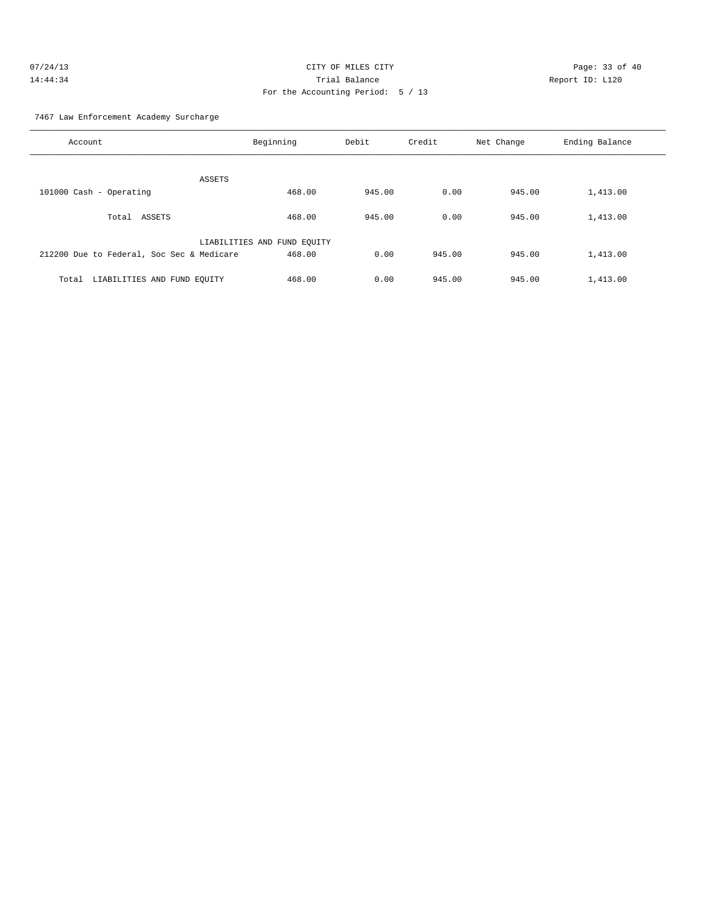| 07/24/13 | CITY OF MILES CITY                | Page: 33 of 40  |  |
|----------|-----------------------------------|-----------------|--|
| 14:44:34 | Trial Balance                     | Report ID: L120 |  |
|          | For the Accounting Period: 5 / 13 |                 |  |

7467 Law Enforcement Academy Surcharge

| Account                                   | Beginning                   | Debit  | Credit | Net Change | Ending Balance |
|-------------------------------------------|-----------------------------|--------|--------|------------|----------------|
| ASSETS                                    |                             |        |        |            |                |
| 101000 Cash - Operating                   | 468.00                      | 945.00 | 0.00   | 945.00     | 1,413.00       |
| ASSETS<br>Total                           | 468.00                      | 945.00 | 0.00   | 945.00     | 1,413.00       |
|                                           | LIABILITIES AND FUND EQUITY |        |        |            |                |
| 212200 Due to Federal, Soc Sec & Medicare | 468.00                      | 0.00   | 945.00 | 945.00     | 1,413.00       |
| LIABILITIES AND FUND EQUITY<br>Total      | 468.00                      | 0.00   | 945.00 | 945.00     | 1,413.00       |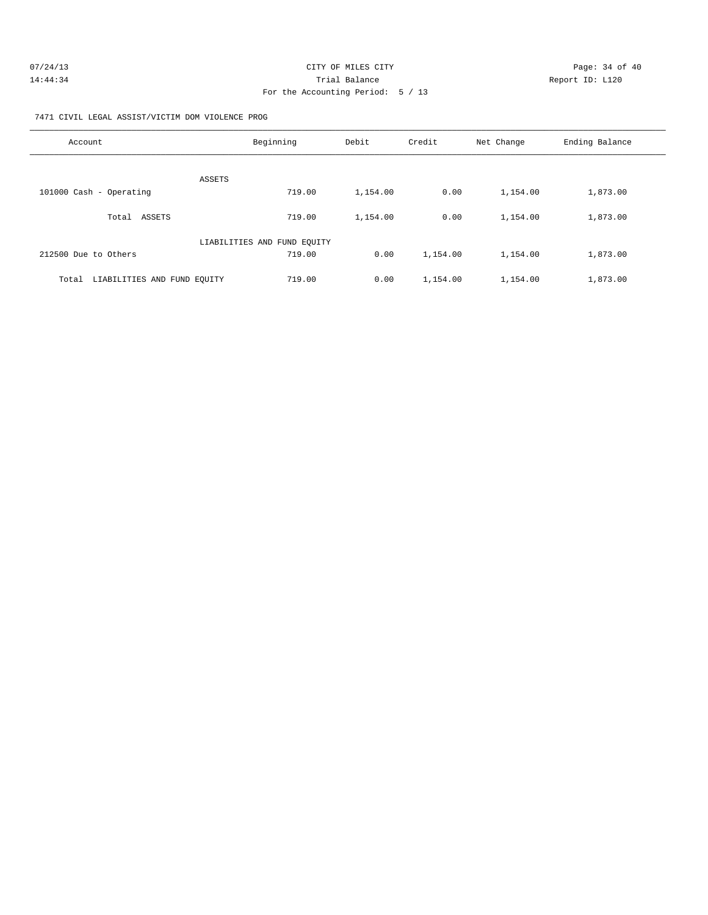| 07/24/13 | CITY OF MILES CITY                | Page: 34 of 40  |
|----------|-----------------------------------|-----------------|
| 14:44:34 | Trial Balance                     | Report ID: L120 |
|          | For the Accounting Period: 5 / 13 |                 |

7471 CIVIL LEGAL ASSIST/VICTIM DOM VIOLENCE PROG

| Account                              | Beginning                   | Debit    | Credit   | Net Change | Ending Balance |
|--------------------------------------|-----------------------------|----------|----------|------------|----------------|
| ASSETS                               |                             |          |          |            |                |
| 101000 Cash - Operating              | 719.00                      | 1,154.00 | 0.00     | 1,154.00   | 1,873.00       |
| ASSETS<br>Total                      | 719.00                      | 1,154.00 | 0.00     | 1,154.00   | 1,873.00       |
|                                      | LIABILITIES AND FUND EQUITY |          |          |            |                |
| 212500 Due to Others                 | 719.00                      | 0.00     | 1,154.00 | 1,154.00   | 1,873.00       |
| LIABILITIES AND FUND EOUITY<br>Total | 719.00                      | 0.00     | 1,154.00 | 1,154.00   | 1,873.00       |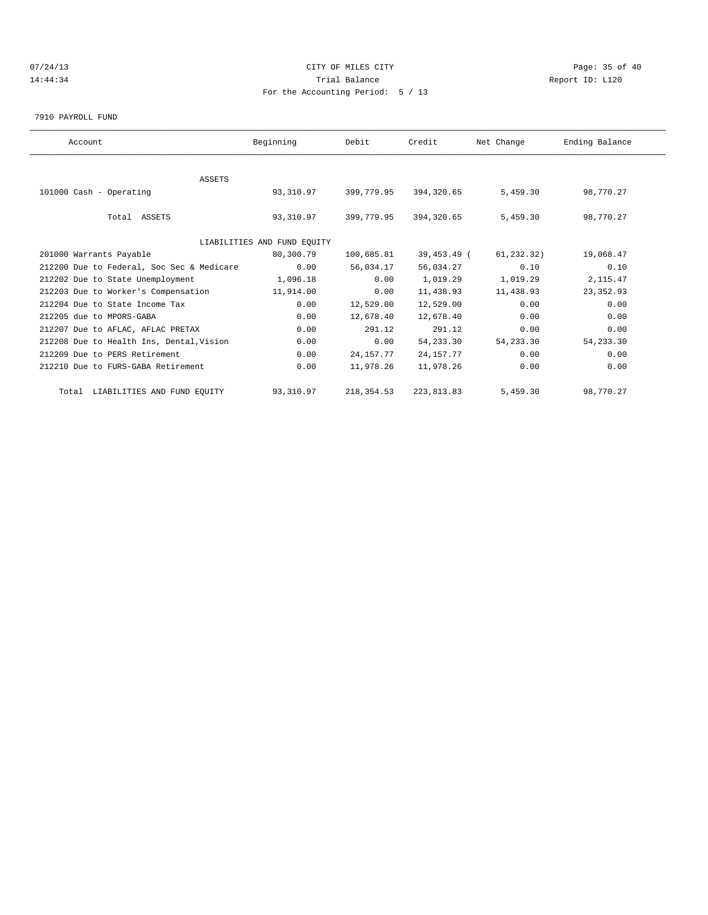# 07/24/13 Page: 35 of 40 14:44:34 Trial Balance Report ID: L120 For the Accounting Period: 5 / 13

7910 PAYROLL FUND

| Account                                   | Beginning                   | Debit       | Credit      | Net Change | Ending Balance |  |
|-------------------------------------------|-----------------------------|-------------|-------------|------------|----------------|--|
|                                           |                             |             |             |            |                |  |
| <b>ASSETS</b>                             |                             |             |             |            |                |  |
| 101000 Cash - Operating                   | 93,310.97                   | 399,779.95  | 394,320.65  | 5,459.30   | 98,770.27      |  |
|                                           |                             |             |             |            |                |  |
| Total ASSETS                              | 93,310.97                   | 399,779.95  | 394,320.65  | 5,459.30   | 98,770.27      |  |
|                                           |                             |             |             |            |                |  |
|                                           | LIABILITIES AND FUND EQUITY |             |             |            |                |  |
| 201000 Warrants Payable                   | 80,300.79                   | 100,685.81  | 39,453.49 ( | 61,232.32) | 19,068.47      |  |
| 212200 Due to Federal, Soc Sec & Medicare | 0.00                        | 56,034.17   | 56,034.27   | 0.10       | 0.10           |  |
| 212202 Due to State Unemployment          | 1,096.18                    | 0.00        | 1,019.29    | 1,019.29   | 2, 115.47      |  |
| 212203 Due to Worker's Compensation       | 11,914.00                   | 0.00        | 11,438.93   | 11,438.93  | 23, 352.93     |  |
| 212204 Due to State Income Tax            | 0.00                        | 12,529.00   | 12,529.00   | 0.00       | 0.00           |  |
| 212205 due to MPORS-GABA                  | 0.00                        | 12,678.40   | 12,678.40   | 0.00       | 0.00           |  |
| 212207 Due to AFLAC, AFLAC PRETAX         | 0.00                        | 291.12      | 291.12      | 0.00       | 0.00           |  |
| 212208 Due to Health Ins, Dental, Vision  | 0.00                        | 0.00        | 54, 233.30  | 54, 233.30 | 54, 233.30     |  |
| 212209 Due to PERS Retirement             | 0.00                        | 24, 157. 77 | 24, 157. 77 | 0.00       | 0.00           |  |
| 212210 Due to FURS-GABA Retirement        | 0.00                        | 11,978.26   | 11,978.26   | 0.00       | 0.00           |  |
| Total LIABILITIES AND FUND EQUITY         | 93,310.97                   | 218, 354.53 | 223, 813.83 | 5,459.30   | 98,770.27      |  |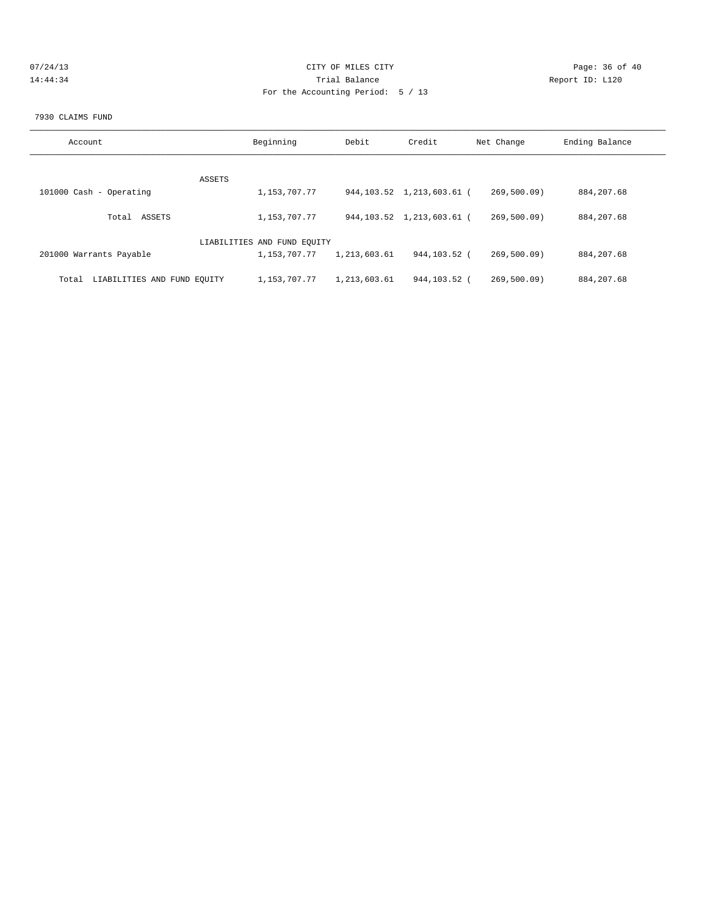| 07/24/13 | CITY OF MILES CITY                | Page: 36 of 40  |
|----------|-----------------------------------|-----------------|
| 14:44:34 | Trial Balance                     | Report ID: L120 |
|          | For the Accounting Period: 5 / 13 |                 |

### 7930 CLAIMS FUND

| Account                              | Beginning                   | Debit        | Credit                       | Net Change | Ending Balance |
|--------------------------------------|-----------------------------|--------------|------------------------------|------------|----------------|
|                                      |                             |              |                              |            |                |
|                                      | ASSETS                      |              |                              |            |                |
| 101000 Cash - Operating              | 1,153,707.77                |              | 944, 103.52 1, 213, 603.61 ( | 269,500.09 | 884, 207.68    |
| ASSETS<br>Total                      | 1,153,707.77                |              | 944, 103.52 1, 213, 603.61 ( | 269,500.09 | 884, 207.68    |
|                                      | LIABILITIES AND FUND EQUITY |              |                              |            |                |
| 201000 Warrants Payable              | 1,153,707.77                | 1,213,603.61 | 944,103.52 (                 | 269,500.09 | 884, 207.68    |
| LIABILITIES AND FUND EOUITY<br>Total | 1,153,707.77                | 1,213,603.61 | 944,103.52 (                 | 269.500.09 | 884, 207.68    |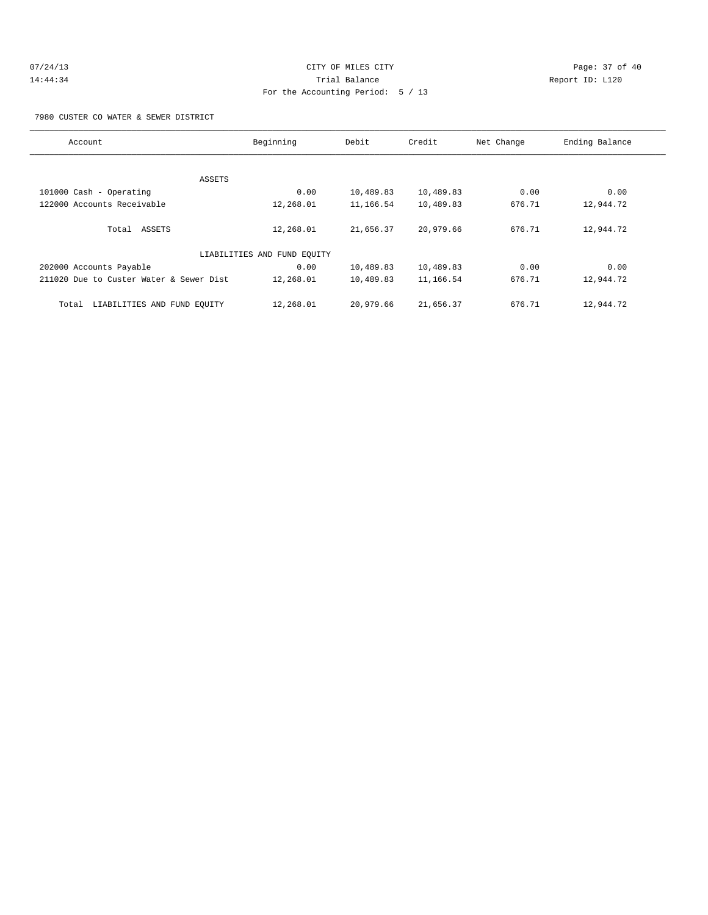# 07/24/13 Page: 37 of 40 14:44:34 Trial Balance Report ID: L120 For the Accounting Period: 5 / 13

7980 CUSTER CO WATER & SEWER DISTRICT

| Account                                 | Beginning                   | Debit     | Credit    | Net Change | Ending Balance |
|-----------------------------------------|-----------------------------|-----------|-----------|------------|----------------|
|                                         |                             |           |           |            |                |
|                                         | ASSETS                      |           |           |            |                |
| 101000 Cash - Operating                 | 0.00                        | 10,489.83 | 10,489.83 | 0.00       | 0.00           |
| 122000 Accounts Receivable              | 12,268.01                   | 11,166.54 | 10,489.83 | 676.71     | 12,944.72      |
|                                         |                             |           |           |            |                |
| Total ASSETS                            | 12,268.01                   | 21,656.37 | 20,979.66 | 676.71     | 12,944.72      |
|                                         |                             |           |           |            |                |
|                                         | LIABILITIES AND FUND EQUITY |           |           |            |                |
| 202000 Accounts Payable                 | 0.00                        | 10,489.83 | 10,489.83 | 0.00       | 0.00           |
| 211020 Due to Custer Water & Sewer Dist | 12,268.01                   | 10,489.83 | 11,166.54 | 676.71     | 12,944.72      |
|                                         |                             |           |           |            |                |
| LIABILITIES AND FUND EOUITY<br>Total    | 12,268.01                   | 20,979.66 | 21,656.37 | 676.71     | 12,944.72      |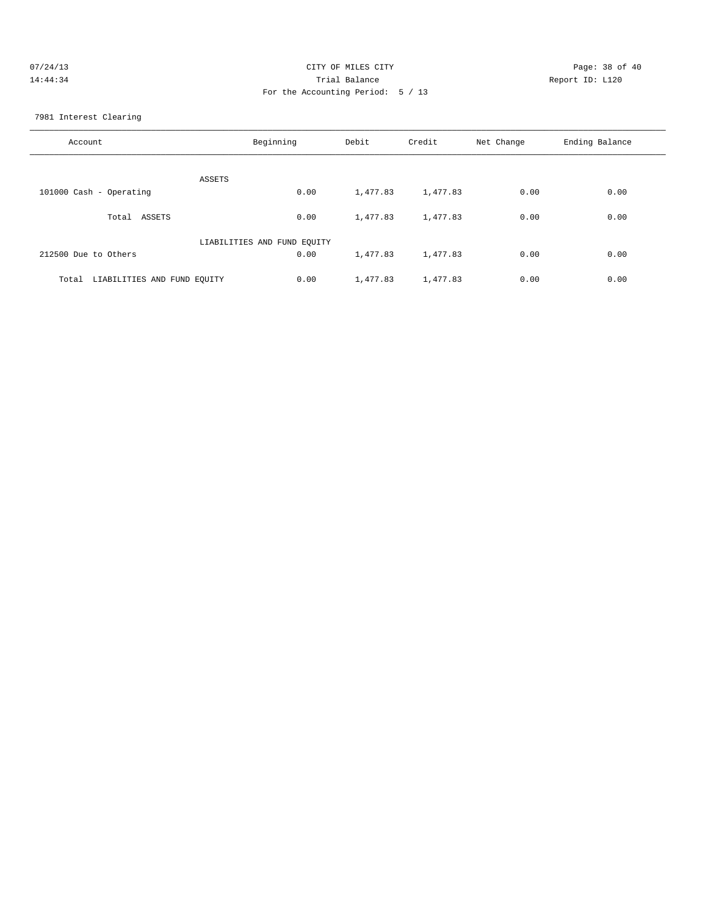| 07/24/13 | CITY OF MILES CITY                | Page: 38 of 40  |
|----------|-----------------------------------|-----------------|
| 14:44:34 | Trial Balance                     | Report ID: L120 |
|          | For the Accounting Period: 5 / 13 |                 |

7981 Interest Clearing

| Account                              | Beginning | Debit    | Credit   | Net Change | Ending Balance |
|--------------------------------------|-----------|----------|----------|------------|----------------|
| ASSETS                               |           |          |          |            |                |
| 101000 Cash - Operating              | 0.00      | 1,477.83 | 1,477.83 | 0.00       | 0.00           |
| ASSETS<br>Total                      | 0.00      | 1,477.83 | 1,477.83 | 0.00       | 0.00           |
| LIABILITIES AND FUND EQUITY          |           |          |          |            |                |
| 212500 Due to Others                 | 0.00      | 1,477.83 | 1,477.83 | 0.00       | 0.00           |
| LIABILITIES AND FUND EQUITY<br>Total | 0.00      | 1,477.83 | 1,477.83 | 0.00       | 0.00           |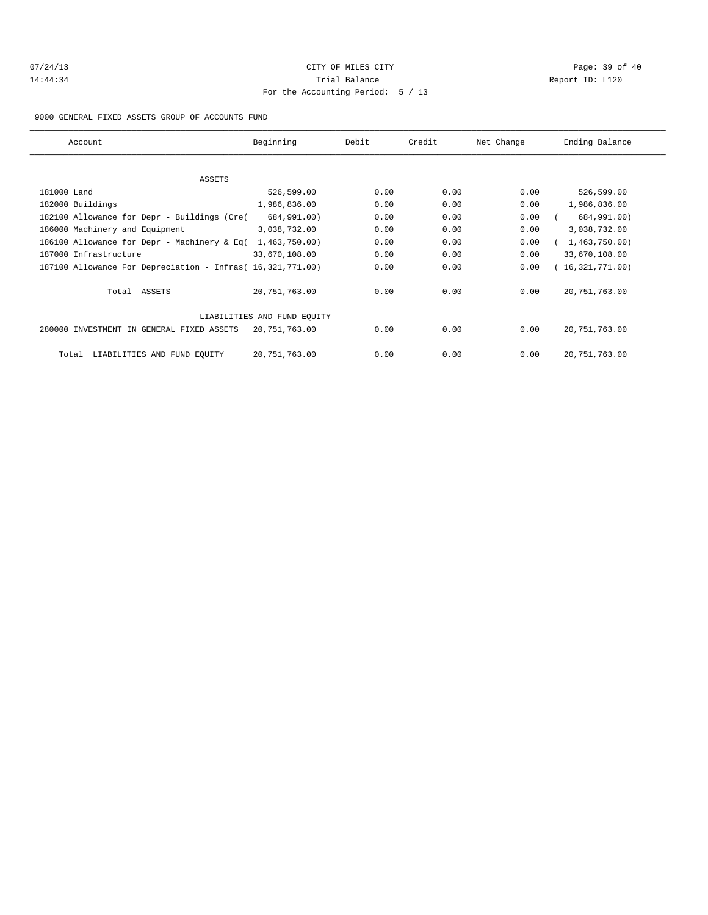| 07/24/13 |  |
|----------|--|
| 14:44:34 |  |

# CITY OF MILES CITY CONTROL CONTROL CONTROL CONTROL CONTROL PAGE: 39 of 40 Trial Balance and Communicated Report ID: L120 For the Accounting Period: 5 / 13

9000 GENERAL FIXED ASSETS GROUP OF ACCOUNTS FUND

| Account                                                    | Beginning                   | Debit | Credit | Net Change | Ending Balance  |
|------------------------------------------------------------|-----------------------------|-------|--------|------------|-----------------|
|                                                            |                             |       |        |            |                 |
| ASSETS                                                     |                             |       |        |            |                 |
| 181000 Land                                                | 526,599.00                  | 0.00  | 0.00   | 0.00       | 526,599.00      |
| 182000 Buildings                                           | 1,986,836.00                | 0.00  | 0.00   | 0.00       | 1,986,836.00    |
| 182100 Allowance for Depr - Buildings (Cre(                | 684,991.00)                 | 0.00  | 0.00   | 0.00       | 684,991.00)     |
| 186000 Machinery and Equipment                             | 3,038,732.00                | 0.00  | 0.00   | 0.00       | 3,038,732.00    |
| 186100 Allowance for Depr - Machinery & Eq(                | 1,463,750.00)               | 0.00  | 0.00   | 0.00       | 1,463,750.00    |
| 187000 Infrastructure                                      | 33,670,108.00               | 0.00  | 0.00   | 0.00       | 33,670,108.00   |
| 187100 Allowance For Depreciation - Infras( 16,321,771.00) |                             | 0.00  | 0.00   | 0.00       | 16,321,771.00   |
| Total ASSETS                                               | 20,751,763.00               | 0.00  | 0.00   | 0.00       | 20, 751, 763.00 |
|                                                            | LIABILITIES AND FUND EOUITY |       |        |            |                 |
| 280000 INVESTMENT IN GENERAL FIXED ASSETS                  | 20,751,763.00               | 0.00  | 0.00   | 0.00       | 20, 751, 763.00 |
| LIABILITIES AND FUND EQUITY<br>Total                       | 20,751,763.00               | 0.00  | 0.00   | 0.00       | 20, 751, 763.00 |